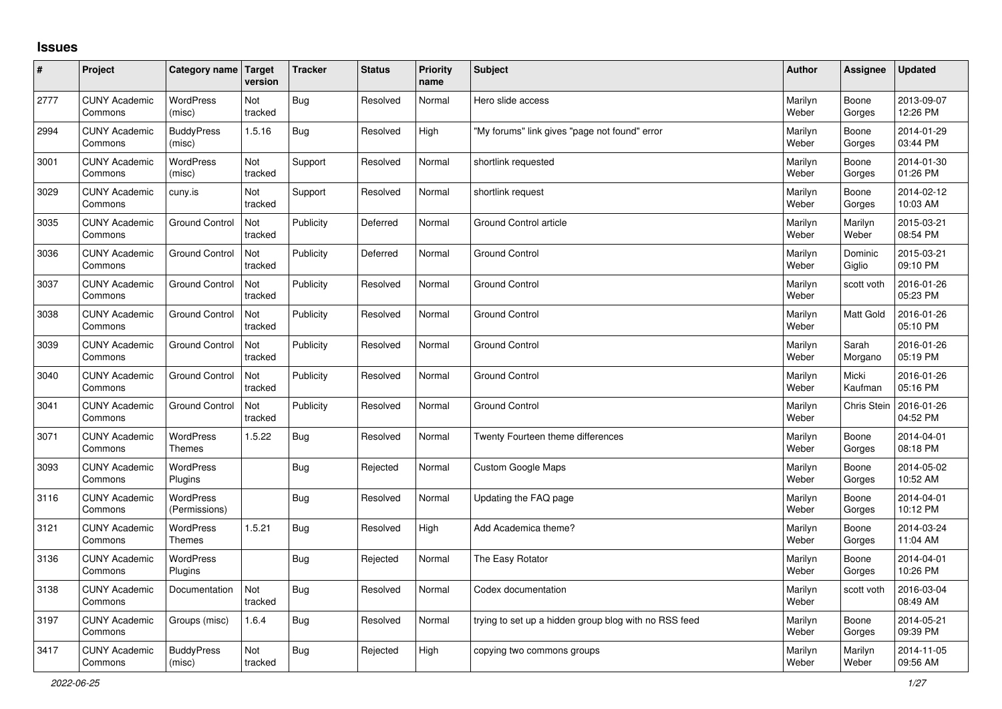## **Issues**

| #    | Project                         | Category name Target              | version        | <b>Tracker</b> | <b>Status</b> | <b>Priority</b><br>name | <b>Subject</b>                                        | <b>Author</b>    | Assignee           | <b>Updated</b>         |
|------|---------------------------------|-----------------------------------|----------------|----------------|---------------|-------------------------|-------------------------------------------------------|------------------|--------------------|------------------------|
| 2777 | <b>CUNY Academic</b><br>Commons | <b>WordPress</b><br>(misc)        | Not<br>tracked | Bug            | Resolved      | Normal                  | Hero slide access                                     | Marilyn<br>Weber | Boone<br>Gorges    | 2013-09-07<br>12:26 PM |
| 2994 | <b>CUNY Academic</b><br>Commons | <b>BuddyPress</b><br>(misc)       | 1.5.16         | Bug            | Resolved      | High                    | 'My forums" link gives "page not found" error         | Marilyn<br>Weber | Boone<br>Gorges    | 2014-01-29<br>03:44 PM |
| 3001 | <b>CUNY Academic</b><br>Commons | <b>WordPress</b><br>(misc)        | Not<br>tracked | Support        | Resolved      | Normal                  | shortlink requested                                   | Marilyn<br>Weber | Boone<br>Gorges    | 2014-01-30<br>01:26 PM |
| 3029 | <b>CUNY Academic</b><br>Commons | cuny.is                           | Not<br>tracked | Support        | Resolved      | Normal                  | shortlink request                                     | Marilyn<br>Weber | Boone<br>Gorges    | 2014-02-12<br>10:03 AM |
| 3035 | <b>CUNY Academic</b><br>Commons | <b>Ground Control</b>             | Not<br>tracked | Publicity      | Deferred      | Normal                  | Ground Control article                                | Marilyn<br>Weber | Marilyn<br>Weber   | 2015-03-21<br>08:54 PM |
| 3036 | <b>CUNY Academic</b><br>Commons | <b>Ground Control</b>             | Not<br>tracked | Publicity      | Deferred      | Normal                  | <b>Ground Control</b>                                 | Marilyn<br>Weber | Dominic<br>Giglio  | 2015-03-21<br>09:10 PM |
| 3037 | <b>CUNY Academic</b><br>Commons | <b>Ground Control</b>             | Not<br>tracked | Publicity      | Resolved      | Normal                  | Ground Control                                        | Marilyn<br>Weber | scott voth         | 2016-01-26<br>05:23 PM |
| 3038 | <b>CUNY Academic</b><br>Commons | <b>Ground Control</b>             | Not<br>tracked | Publicity      | Resolved      | Normal                  | Ground Control                                        | Marilyn<br>Weber | Matt Gold          | 2016-01-26<br>05:10 PM |
| 3039 | <b>CUNY Academic</b><br>Commons | <b>Ground Control</b>             | Not<br>tracked | Publicity      | Resolved      | Normal                  | <b>Ground Control</b>                                 | Marilyn<br>Weber | Sarah<br>Morgano   | 2016-01-26<br>05:19 PM |
| 3040 | <b>CUNY Academic</b><br>Commons | <b>Ground Control</b>             | Not<br>tracked | Publicity      | Resolved      | Normal                  | <b>Ground Control</b>                                 | Marilyn<br>Weber | Micki<br>Kaufman   | 2016-01-26<br>05:16 PM |
| 3041 | <b>CUNY Academic</b><br>Commons | <b>Ground Control</b>             | Not<br>tracked | Publicity      | Resolved      | Normal                  | <b>Ground Control</b>                                 | Marilyn<br>Weber | <b>Chris Stein</b> | 2016-01-26<br>04:52 PM |
| 3071 | <b>CUNY Academic</b><br>Commons | WordPress<br><b>Themes</b>        | 1.5.22         | <b>Bug</b>     | Resolved      | Normal                  | Twenty Fourteen theme differences                     | Marilyn<br>Weber | Boone<br>Gorges    | 2014-04-01<br>08:18 PM |
| 3093 | <b>CUNY Academic</b><br>Commons | <b>WordPress</b><br>Plugins       |                | Bug            | Rejected      | Normal                  | Custom Google Maps                                    | Marilyn<br>Weber | Boone<br>Gorges    | 2014-05-02<br>10:52 AM |
| 3116 | <b>CUNY Academic</b><br>Commons | <b>WordPress</b><br>(Permissions) |                | Bug            | Resolved      | Normal                  | Updating the FAQ page                                 | Marilyn<br>Weber | Boone<br>Gorges    | 2014-04-01<br>10:12 PM |
| 3121 | <b>CUNY Academic</b><br>Commons | <b>WordPress</b><br><b>Themes</b> | 1.5.21         | Bug            | Resolved      | High                    | Add Academica theme?                                  | Marilyn<br>Weber | Boone<br>Gorges    | 2014-03-24<br>11:04 AM |
| 3136 | <b>CUNY Academic</b><br>Commons | WordPress<br><b>Plugins</b>       |                | Bug            | Rejected      | Normal                  | The Easy Rotator                                      | Marilyn<br>Weber | Boone<br>Gorges    | 2014-04-01<br>10:26 PM |
| 3138 | <b>CUNY Academic</b><br>Commons | Documentation                     | Not<br>tracked | <b>Bug</b>     | Resolved      | Normal                  | Codex documentation                                   | Marilyn<br>Weber | scott voth         | 2016-03-04<br>08:49 AM |
| 3197 | <b>CUNY Academic</b><br>Commons | Groups (misc)                     | 1.6.4          | Bug            | Resolved      | Normal                  | trying to set up a hidden group blog with no RSS feed | Marilyn<br>Weber | Boone<br>Gorges    | 2014-05-21<br>09:39 PM |
| 3417 | <b>CUNY Academic</b><br>Commons | <b>BuddyPress</b><br>(misc)       | Not<br>tracked | Bug            | Rejected      | High                    | copying two commons groups                            | Marilyn<br>Weber | Marilyn<br>Weber   | 2014-11-05<br>09:56 AM |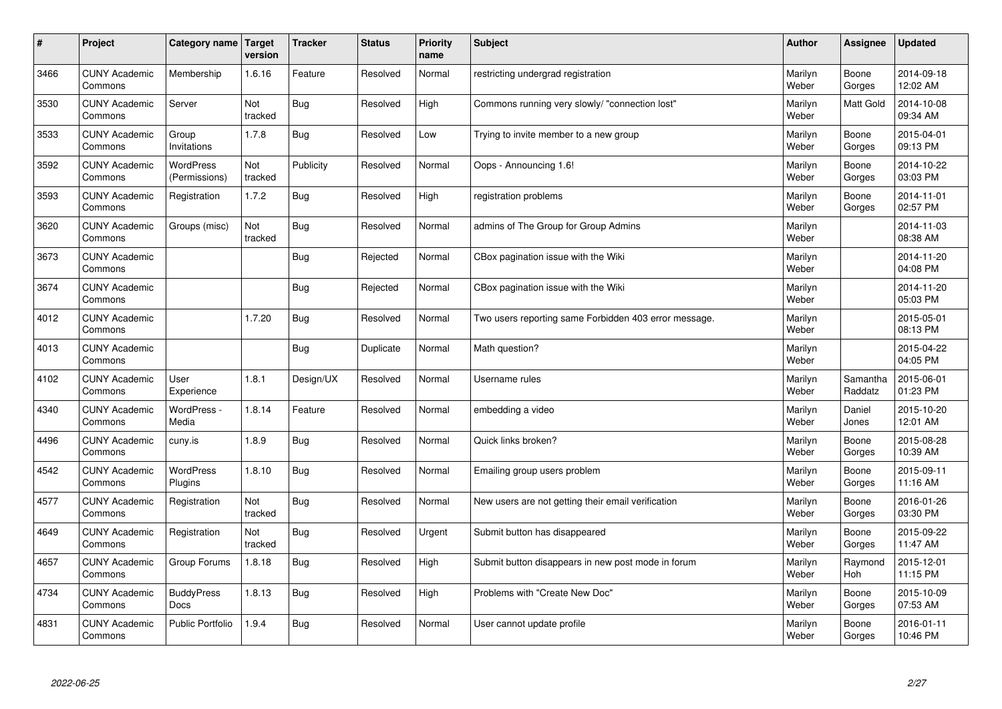| $\sharp$ | Project                         | Category name   Target            | version        | <b>Tracker</b> | <b>Status</b> | <b>Priority</b><br>name | <b>Subject</b>                                        | <b>Author</b>    | Assignee              | <b>Updated</b>         |
|----------|---------------------------------|-----------------------------------|----------------|----------------|---------------|-------------------------|-------------------------------------------------------|------------------|-----------------------|------------------------|
| 3466     | <b>CUNY Academic</b><br>Commons | Membership                        | 1.6.16         | Feature        | Resolved      | Normal                  | restricting undergrad registration                    | Marilyn<br>Weber | Boone<br>Gorges       | 2014-09-18<br>12:02 AM |
| 3530     | <b>CUNY Academic</b><br>Commons | Server                            | Not<br>tracked | Bug            | Resolved      | High                    | Commons running very slowly/ "connection lost"        | Marilyn<br>Weber | <b>Matt Gold</b>      | 2014-10-08<br>09:34 AM |
| 3533     | <b>CUNY Academic</b><br>Commons | Group<br>Invitations              | 1.7.8          | Bug            | Resolved      | Low                     | Trying to invite member to a new group                | Marilyn<br>Weber | Boone<br>Gorges       | 2015-04-01<br>09:13 PM |
| 3592     | <b>CUNY Academic</b><br>Commons | <b>WordPress</b><br>(Permissions) | Not<br>tracked | Publicity      | Resolved      | Normal                  | Oops - Announcing 1.6!                                | Marilyn<br>Weber | Boone<br>Gorges       | 2014-10-22<br>03:03 PM |
| 3593     | <b>CUNY Academic</b><br>Commons | Registration                      | 1.7.2          | Bug            | Resolved      | High                    | registration problems                                 | Marilyn<br>Weber | Boone<br>Gorges       | 2014-11-01<br>02:57 PM |
| 3620     | <b>CUNY Academic</b><br>Commons | Groups (misc)                     | Not<br>tracked | Bug            | Resolved      | Normal                  | admins of The Group for Group Admins                  | Marilyn<br>Weber |                       | 2014-11-03<br>08:38 AM |
| 3673     | <b>CUNY Academic</b><br>Commons |                                   |                | Bug            | Rejected      | Normal                  | CBox pagination issue with the Wiki                   | Marilyn<br>Weber |                       | 2014-11-20<br>04:08 PM |
| 3674     | <b>CUNY Academic</b><br>Commons |                                   |                | Bug            | Rejected      | Normal                  | CBox pagination issue with the Wiki                   | Marilyn<br>Weber |                       | 2014-11-20<br>05:03 PM |
| 4012     | <b>CUNY Academic</b><br>Commons |                                   | 1.7.20         | Bug            | Resolved      | Normal                  | Two users reporting same Forbidden 403 error message. | Marilyn<br>Weber |                       | 2015-05-01<br>08:13 PM |
| 4013     | <b>CUNY Academic</b><br>Commons |                                   |                | Bug            | Duplicate     | Normal                  | Math question?                                        | Marilyn<br>Weber |                       | 2015-04-22<br>04:05 PM |
| 4102     | <b>CUNY Academic</b><br>Commons | User<br>Experience                | 1.8.1          | Design/UX      | Resolved      | Normal                  | Username rules                                        | Marilyn<br>Weber | Samantha<br>Raddatz   | 2015-06-01<br>01:23 PM |
| 4340     | <b>CUNY Academic</b><br>Commons | WordPress -<br>Media              | 1.8.14         | Feature        | Resolved      | Normal                  | embedding a video                                     | Marilyn<br>Weber | Daniel<br>Jones       | 2015-10-20<br>12:01 AM |
| 4496     | <b>CUNY Academic</b><br>Commons | cuny.is                           | 1.8.9          | Bug            | Resolved      | Normal                  | Quick links broken?                                   | Marilyn<br>Weber | Boone<br>Gorges       | 2015-08-28<br>10:39 AM |
| 4542     | <b>CUNY Academic</b><br>Commons | WordPress<br>Plugins              | 1.8.10         | Bug            | Resolved      | Normal                  | Emailing group users problem                          | Marilyn<br>Weber | Boone<br>Gorges       | 2015-09-11<br>11:16 AM |
| 4577     | <b>CUNY Academic</b><br>Commons | Registration                      | Not<br>tracked | Bug            | Resolved      | Normal                  | New users are not getting their email verification    | Marilyn<br>Weber | Boone<br>Gorges       | 2016-01-26<br>03:30 PM |
| 4649     | <b>CUNY Academic</b><br>Commons | Registration                      | Not<br>tracked | Bug            | Resolved      | Urgent                  | Submit button has disappeared                         | Marilyn<br>Weber | Boone<br>Gorges       | 2015-09-22<br>11:47 AM |
| 4657     | <b>CUNY Academic</b><br>Commons | Group Forums                      | 1.8.18         | Bug            | Resolved      | High                    | Submit button disappears in new post mode in forum    | Marilyn<br>Weber | Raymond<br><b>Hoh</b> | 2015-12-01<br>11:15 PM |
| 4734     | <b>CUNY Academic</b><br>Commons | <b>BuddyPress</b><br>Docs         | 1.8.13         | Bug            | Resolved      | High                    | Problems with "Create New Doc"                        | Marilyn<br>Weber | Boone<br>Gorges       | 2015-10-09<br>07:53 AM |
| 4831     | <b>CUNY Academic</b><br>Commons | <b>Public Portfolio</b>           | 1.9.4          | Bug            | Resolved      | Normal                  | User cannot update profile                            | Marilyn<br>Weber | Boone<br>Gorges       | 2016-01-11<br>10:46 PM |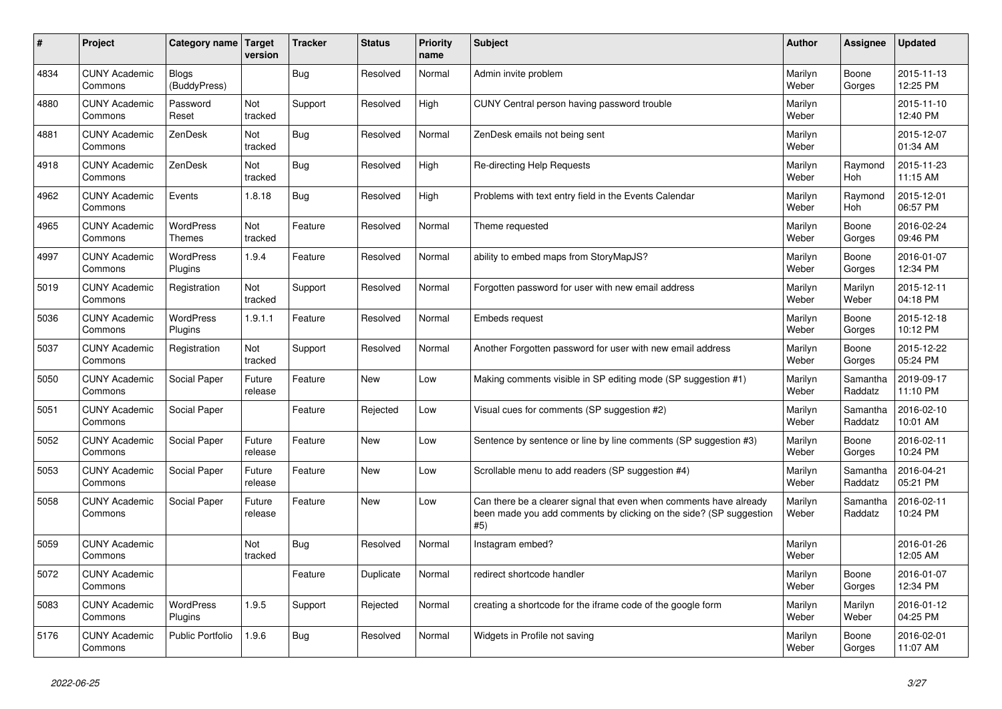| #    | Project                         | <b>Category name</b>         | <b>Target</b><br>version | <b>Tracker</b> | <b>Status</b> | <b>Priority</b><br>name | <b>Subject</b>                                                                                                                                  | Author           | Assignee            | <b>Updated</b>         |
|------|---------------------------------|------------------------------|--------------------------|----------------|---------------|-------------------------|-------------------------------------------------------------------------------------------------------------------------------------------------|------------------|---------------------|------------------------|
| 4834 | <b>CUNY Academic</b><br>Commons | <b>Blogs</b><br>(BuddyPress) |                          | Bug            | Resolved      | Normal                  | Admin invite problem                                                                                                                            | Marilyn<br>Weber | Boone<br>Gorges     | 2015-11-13<br>12:25 PM |
| 4880 | <b>CUNY Academic</b><br>Commons | Password<br>Reset            | Not<br>tracked           | Support        | Resolved      | High                    | CUNY Central person having password trouble                                                                                                     | Marilyn<br>Weber |                     | 2015-11-10<br>12:40 PM |
| 4881 | <b>CUNY Academic</b><br>Commons | ZenDesk                      | Not<br>tracked           | <b>Bug</b>     | Resolved      | Normal                  | ZenDesk emails not being sent                                                                                                                   | Marilyn<br>Weber |                     | 2015-12-07<br>01:34 AM |
| 4918 | <b>CUNY Academic</b><br>Commons | ZenDesk                      | Not<br>tracked           | <b>Bug</b>     | Resolved      | High                    | <b>Re-directing Help Requests</b>                                                                                                               | Marilyn<br>Weber | Raymond<br>Hoh      | 2015-11-23<br>11:15 AM |
| 4962 | <b>CUNY Academic</b><br>Commons | Events                       | 1.8.18                   | Bug            | Resolved      | High                    | Problems with text entry field in the Events Calendar                                                                                           | Marilyn<br>Weber | Raymond<br>Hoh      | 2015-12-01<br>06:57 PM |
| 4965 | <b>CUNY Academic</b><br>Commons | WordPress<br>Themes          | Not<br>tracked           | Feature        | Resolved      | Normal                  | Theme requested                                                                                                                                 | Marilyn<br>Weber | Boone<br>Gorges     | 2016-02-24<br>09:46 PM |
| 4997 | <b>CUNY Academic</b><br>Commons | <b>WordPress</b><br>Plugins  | 1.9.4                    | Feature        | Resolved      | Normal                  | ability to embed maps from StoryMapJS?                                                                                                          | Marilyn<br>Weber | Boone<br>Gorges     | 2016-01-07<br>12:34 PM |
| 5019 | <b>CUNY Academic</b><br>Commons | Registration                 | Not<br>tracked           | Support        | Resolved      | Normal                  | Forgotten password for user with new email address                                                                                              | Marilyn<br>Weber | Marilyn<br>Weber    | 2015-12-11<br>04:18 PM |
| 5036 | <b>CUNY Academic</b><br>Commons | WordPress<br>Plugins         | 1.9.1.1                  | Feature        | Resolved      | Normal                  | Embeds request                                                                                                                                  | Marilyn<br>Weber | Boone<br>Gorges     | 2015-12-18<br>10:12 PM |
| 5037 | <b>CUNY Academic</b><br>Commons | Registration                 | Not<br>tracked           | Support        | Resolved      | Normal                  | Another Forgotten password for user with new email address                                                                                      | Marilyn<br>Weber | Boone<br>Gorges     | 2015-12-22<br>05:24 PM |
| 5050 | <b>CUNY Academic</b><br>Commons | Social Paper                 | Future<br>release        | Feature        | <b>New</b>    | Low                     | Making comments visible in SP editing mode (SP suggestion #1)                                                                                   | Marilyn<br>Weber | Samantha<br>Raddatz | 2019-09-17<br>11:10 PM |
| 5051 | <b>CUNY Academic</b><br>Commons | Social Paper                 |                          | Feature        | Rejected      | Low                     | Visual cues for comments (SP suggestion #2)                                                                                                     | Marilyn<br>Weber | Samantha<br>Raddatz | 2016-02-10<br>10:01 AM |
| 5052 | <b>CUNY Academic</b><br>Commons | Social Paper                 | Future<br>release        | Feature        | <b>New</b>    | Low                     | Sentence by sentence or line by line comments (SP suggestion #3)                                                                                | Marilyn<br>Weber | Boone<br>Gorges     | 2016-02-11<br>10:24 PM |
| 5053 | <b>CUNY Academic</b><br>Commons | Social Paper                 | Future<br>release        | Feature        | <b>New</b>    | Low                     | Scrollable menu to add readers (SP suggestion #4)                                                                                               | Marilyn<br>Weber | Samantha<br>Raddatz | 2016-04-21<br>05:21 PM |
| 5058 | <b>CUNY Academic</b><br>Commons | Social Paper                 | Future<br>release        | Feature        | <b>New</b>    | Low                     | Can there be a clearer signal that even when comments have already<br>been made you add comments by clicking on the side? (SP suggestion<br>#5) | Marilyn<br>Weber | Samantha<br>Raddatz | 2016-02-11<br>10:24 PM |
| 5059 | <b>CUNY Academic</b><br>Commons |                              | Not<br>tracked           | Bug            | Resolved      | Normal                  | Instagram embed?                                                                                                                                | Marilyn<br>Weber |                     | 2016-01-26<br>12:05 AM |
| 5072 | <b>CUNY Academic</b><br>Commons |                              |                          | Feature        | Duplicate     | Normal                  | redirect shortcode handler                                                                                                                      | Marilyn<br>Weber | Boone<br>Gorges     | 2016-01-07<br>12:34 PM |
| 5083 | <b>CUNY Academic</b><br>Commons | WordPress<br>Plugins         | 1.9.5                    | Support        | Rejected      | Normal                  | creating a shortcode for the iframe code of the google form                                                                                     | Marilyn<br>Weber | Marilyn<br>Weber    | 2016-01-12<br>04:25 PM |
| 5176 | <b>CUNY Academic</b><br>Commons | Public Portfolio             | 1.9.6                    | Bug            | Resolved      | Normal                  | Widgets in Profile not saving                                                                                                                   | Marilyn<br>Weber | Boone<br>Gorges     | 2016-02-01<br>11:07 AM |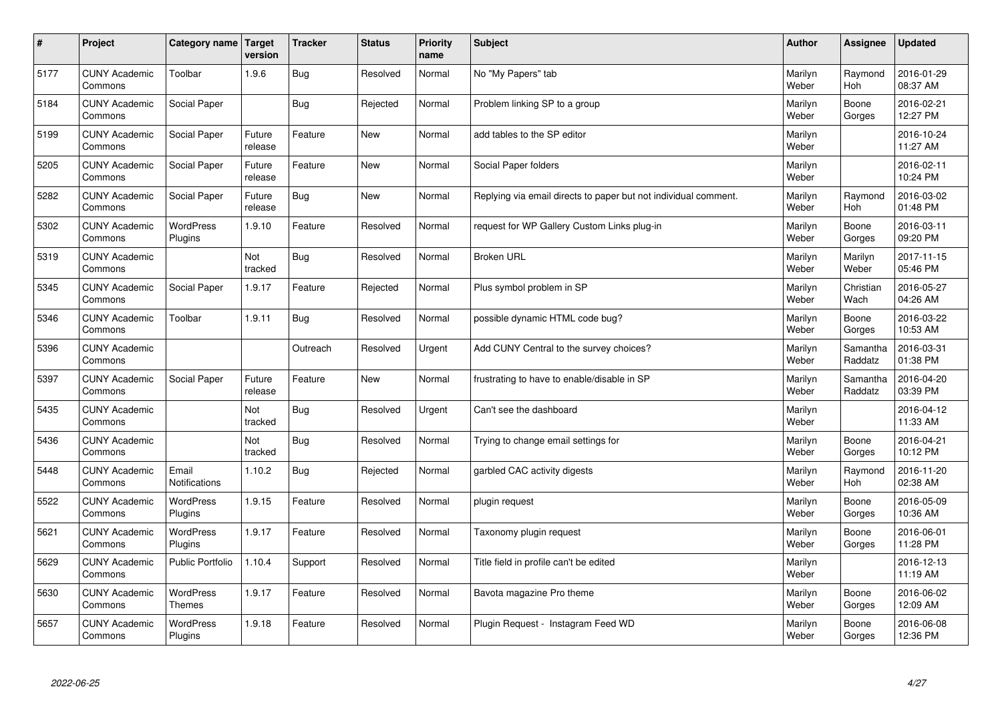| $\sharp$ | Project                         | Category name   Target        | version           | <b>Tracker</b> | <b>Status</b> | <b>Priority</b><br>name | <b>Subject</b>                                                  | <b>Author</b>    | Assignee              | <b>Updated</b>         |
|----------|---------------------------------|-------------------------------|-------------------|----------------|---------------|-------------------------|-----------------------------------------------------------------|------------------|-----------------------|------------------------|
| 5177     | <b>CUNY Academic</b><br>Commons | Toolbar                       | 1.9.6             | Bug            | Resolved      | Normal                  | No "My Papers" tab                                              | Marilyn<br>Weber | Raymond<br>Hoh        | 2016-01-29<br>08:37 AM |
| 5184     | <b>CUNY Academic</b><br>Commons | Social Paper                  |                   | Bug            | Rejected      | Normal                  | Problem linking SP to a group                                   | Marilyn<br>Weber | Boone<br>Gorges       | 2016-02-21<br>12:27 PM |
| 5199     | <b>CUNY Academic</b><br>Commons | Social Paper                  | Future<br>release | Feature        | New           | Normal                  | add tables to the SP editor                                     | Marilyn<br>Weber |                       | 2016-10-24<br>11:27 AM |
| 5205     | <b>CUNY Academic</b><br>Commons | Social Paper                  | Future<br>release | Feature        | <b>New</b>    | Normal                  | Social Paper folders                                            | Marilyn<br>Weber |                       | 2016-02-11<br>10:24 PM |
| 5282     | <b>CUNY Academic</b><br>Commons | Social Paper                  | Future<br>release | Bug            | <b>New</b>    | Normal                  | Replying via email directs to paper but not individual comment. | Marilyn<br>Weber | Raymond<br><b>Hoh</b> | 2016-03-02<br>01:48 PM |
| 5302     | <b>CUNY Academic</b><br>Commons | WordPress<br>Plugins          | 1.9.10            | Feature        | Resolved      | Normal                  | request for WP Gallery Custom Links plug-in                     | Marilyn<br>Weber | Boone<br>Gorges       | 2016-03-11<br>09:20 PM |
| 5319     | <b>CUNY Academic</b><br>Commons |                               | Not<br>tracked    | Bug            | Resolved      | Normal                  | <b>Broken URL</b>                                               | Marilyn<br>Weber | Marilyn<br>Weber      | 2017-11-15<br>05:46 PM |
| 5345     | <b>CUNY Academic</b><br>Commons | Social Paper                  | 1.9.17            | Feature        | Rejected      | Normal                  | Plus symbol problem in SP                                       | Marilyn<br>Weber | Christian<br>Wach     | 2016-05-27<br>04:26 AM |
| 5346     | <b>CUNY Academic</b><br>Commons | Toolbar                       | 1.9.11            | Bug            | Resolved      | Normal                  | possible dynamic HTML code bug?                                 | Marilyn<br>Weber | Boone<br>Gorges       | 2016-03-22<br>10:53 AM |
| 5396     | <b>CUNY Academic</b><br>Commons |                               |                   | Outreach       | Resolved      | Urgent                  | Add CUNY Central to the survey choices?                         | Marilyn<br>Weber | Samantha<br>Raddatz   | 2016-03-31<br>01:38 PM |
| 5397     | <b>CUNY Academic</b><br>Commons | Social Paper                  | Future<br>release | Feature        | <b>New</b>    | Normal                  | frustrating to have to enable/disable in SP                     | Marilyn<br>Weber | Samantha<br>Raddatz   | 2016-04-20<br>03:39 PM |
| 5435     | <b>CUNY Academic</b><br>Commons |                               | Not<br>tracked    | Bug            | Resolved      | Urgent                  | Can't see the dashboard                                         | Marilyn<br>Weber |                       | 2016-04-12<br>11:33 AM |
| 5436     | <b>CUNY Academic</b><br>Commons |                               | Not<br>tracked    | Bug            | Resolved      | Normal                  | Trying to change email settings for                             | Marilyn<br>Weber | Boone<br>Gorges       | 2016-04-21<br>10:12 PM |
| 5448     | <b>CUNY Academic</b><br>Commons | Email<br><b>Notifications</b> | 1.10.2            | Bug            | Rejected      | Normal                  | garbled CAC activity digests                                    | Marilyn<br>Weber | Raymond<br>Hoh        | 2016-11-20<br>02:38 AM |
| 5522     | <b>CUNY Academic</b><br>Commons | WordPress<br>Plugins          | 1.9.15            | Feature        | Resolved      | Normal                  | plugin request                                                  | Marilyn<br>Weber | Boone<br>Gorges       | 2016-05-09<br>10:36 AM |
| 5621     | <b>CUNY Academic</b><br>Commons | <b>WordPress</b><br>Plugins   | 1.9.17            | Feature        | Resolved      | Normal                  | Taxonomy plugin request                                         | Marilyn<br>Weber | Boone<br>Gorges       | 2016-06-01<br>11:28 PM |
| 5629     | <b>CUNY Academic</b><br>Commons | <b>Public Portfolio</b>       | 1.10.4            | Support        | Resolved      | Normal                  | Title field in profile can't be edited                          | Marilyn<br>Weber |                       | 2016-12-13<br>11:19 AM |
| 5630     | <b>CUNY Academic</b><br>Commons | WordPress<br><b>Themes</b>    | 1.9.17            | Feature        | Resolved      | Normal                  | Bavota magazine Pro theme                                       | Marilyn<br>Weber | Boone<br>Gorges       | 2016-06-02<br>12:09 AM |
| 5657     | <b>CUNY Academic</b><br>Commons | WordPress<br>Plugins          | 1.9.18            | Feature        | Resolved      | Normal                  | Plugin Request - Instagram Feed WD                              | Marilyn<br>Weber | Boone<br>Gorges       | 2016-06-08<br>12:36 PM |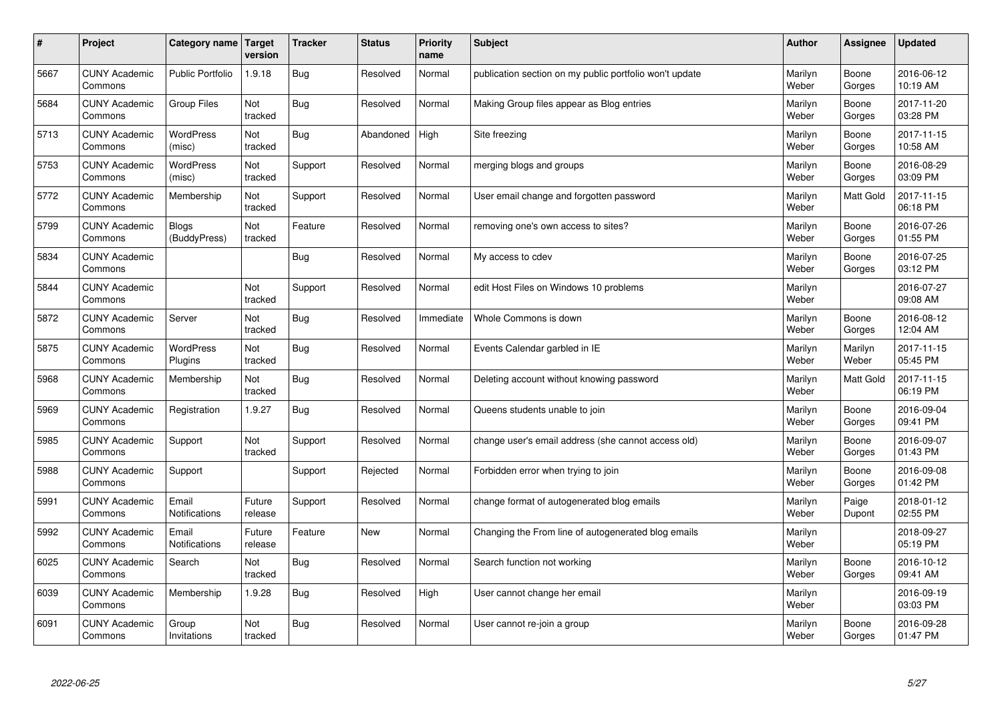| $\#$ | Project                         | Category name   Target       | version           | <b>Tracker</b> | <b>Status</b> | <b>Priority</b><br>name | <b>Subject</b>                                          | <b>Author</b>    | <b>Assignee</b>  | <b>Updated</b>         |
|------|---------------------------------|------------------------------|-------------------|----------------|---------------|-------------------------|---------------------------------------------------------|------------------|------------------|------------------------|
| 5667 | <b>CUNY Academic</b><br>Commons | <b>Public Portfolio</b>      | 1.9.18            | Bug            | Resolved      | Normal                  | publication section on my public portfolio won't update | Marilyn<br>Weber | Boone<br>Gorges  | 2016-06-12<br>10:19 AM |
| 5684 | <b>CUNY Academic</b><br>Commons | <b>Group Files</b>           | Not<br>tracked    | Bug            | Resolved      | Normal                  | Making Group files appear as Blog entries               | Marilyn<br>Weber | Boone<br>Gorges  | 2017-11-20<br>03:28 PM |
| 5713 | <b>CUNY Academic</b><br>Commons | <b>WordPress</b><br>(misc)   | Not<br>tracked    | Bug            | Abandoned     | High                    | Site freezing                                           | Marilyn<br>Weber | Boone<br>Gorges  | 2017-11-15<br>10:58 AM |
| 5753 | <b>CUNY Academic</b><br>Commons | <b>WordPress</b><br>(misc)   | Not<br>tracked    | Support        | Resolved      | Normal                  | merging blogs and groups                                | Marilyn<br>Weber | Boone<br>Gorges  | 2016-08-29<br>03:09 PM |
| 5772 | <b>CUNY Academic</b><br>Commons | Membership                   | Not<br>tracked    | Support        | Resolved      | Normal                  | User email change and forgotten password                | Marilyn<br>Weber | <b>Matt Gold</b> | 2017-11-15<br>06:18 PM |
| 5799 | <b>CUNY Academic</b><br>Commons | <b>Blogs</b><br>(BuddyPress) | Not<br>tracked    | Feature        | Resolved      | Normal                  | removing one's own access to sites?                     | Marilyn<br>Weber | Boone<br>Gorges  | 2016-07-26<br>01:55 PM |
| 5834 | <b>CUNY Academic</b><br>Commons |                              |                   | Bug            | Resolved      | Normal                  | My access to cdev                                       | Marilyn<br>Weber | Boone<br>Gorges  | 2016-07-25<br>03:12 PM |
| 5844 | <b>CUNY Academic</b><br>Commons |                              | Not<br>tracked    | Support        | Resolved      | Normal                  | edit Host Files on Windows 10 problems                  | Marilyn<br>Weber |                  | 2016-07-27<br>09:08 AM |
| 5872 | <b>CUNY Academic</b><br>Commons | Server                       | Not<br>tracked    | Bug            | Resolved      | Immediate               | Whole Commons is down                                   | Marilyn<br>Weber | Boone<br>Gorges  | 2016-08-12<br>12:04 AM |
| 5875 | <b>CUNY Academic</b><br>Commons | <b>WordPress</b><br>Plugins  | Not<br>tracked    | Bug            | Resolved      | Normal                  | Events Calendar garbled in IE                           | Marilyn<br>Weber | Marilyn<br>Weber | 2017-11-15<br>05:45 PM |
| 5968 | <b>CUNY Academic</b><br>Commons | Membership                   | Not<br>tracked    | Bug            | Resolved      | Normal                  | Deleting account without knowing password               | Marilyn<br>Weber | <b>Matt Gold</b> | 2017-11-15<br>06:19 PM |
| 5969 | <b>CUNY Academic</b><br>Commons | Registration                 | 1.9.27            | Bug            | Resolved      | Normal                  | Queens students unable to join                          | Marilyn<br>Weber | Boone<br>Gorges  | 2016-09-04<br>09:41 PM |
| 5985 | <b>CUNY Academic</b><br>Commons | Support                      | Not<br>tracked    | Support        | Resolved      | Normal                  | change user's email address (she cannot access old)     | Marilyn<br>Weber | Boone<br>Gorges  | 2016-09-07<br>01:43 PM |
| 5988 | <b>CUNY Academic</b><br>Commons | Support                      |                   | Support        | Rejected      | Normal                  | Forbidden error when trying to join                     | Marilyn<br>Weber | Boone<br>Gorges  | 2016-09-08<br>01:42 PM |
| 5991 | <b>CUNY Academic</b><br>Commons | Email<br>Notifications       | Future<br>release | Support        | Resolved      | Normal                  | change format of autogenerated blog emails              | Marilyn<br>Weber | Paige<br>Dupont  | 2018-01-12<br>02:55 PM |
| 5992 | <b>CUNY Academic</b><br>Commons | Email<br>Notifications       | Future<br>release | Feature        | <b>New</b>    | Normal                  | Changing the From line of autogenerated blog emails     | Marilyn<br>Weber |                  | 2018-09-27<br>05:19 PM |
| 6025 | <b>CUNY Academic</b><br>Commons | Search                       | Not<br>tracked    | Bug            | Resolved      | Normal                  | Search function not working                             | Marilyn<br>Weber | Boone<br>Gorges  | 2016-10-12<br>09:41 AM |
| 6039 | <b>CUNY Academic</b><br>Commons | Membership                   | 1.9.28            | <b>Bug</b>     | Resolved      | High                    | User cannot change her email                            | Marilyn<br>Weber |                  | 2016-09-19<br>03:03 PM |
| 6091 | <b>CUNY Academic</b><br>Commons | Group<br>Invitations         | Not<br>tracked    | Bug            | Resolved      | Normal                  | User cannot re-join a group                             | Marilyn<br>Weber | Boone<br>Gorges  | 2016-09-28<br>01:47 PM |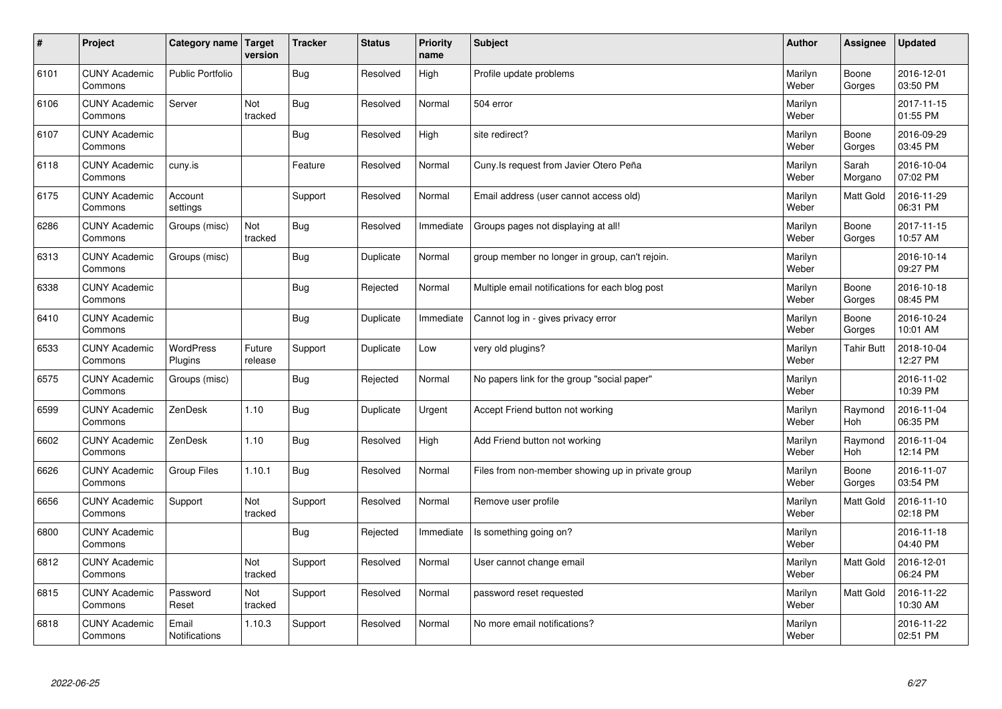| $\sharp$ | Project                         | Category name   Target        | version           | <b>Tracker</b> | <b>Status</b> | <b>Priority</b><br>name | <b>Subject</b>                                    | <b>Author</b>    | Assignee          | <b>Updated</b>         |
|----------|---------------------------------|-------------------------------|-------------------|----------------|---------------|-------------------------|---------------------------------------------------|------------------|-------------------|------------------------|
| 6101     | <b>CUNY Academic</b><br>Commons | <b>Public Portfolio</b>       |                   | Bug            | Resolved      | High                    | Profile update problems                           | Marilyn<br>Weber | Boone<br>Gorges   | 2016-12-01<br>03:50 PM |
| 6106     | <b>CUNY Academic</b><br>Commons | Server                        | Not<br>tracked    | Bug            | Resolved      | Normal                  | 504 error                                         | Marilyn<br>Weber |                   | 2017-11-15<br>01:55 PM |
| 6107     | <b>CUNY Academic</b><br>Commons |                               |                   | Bug            | Resolved      | High                    | site redirect?                                    | Marilyn<br>Weber | Boone<br>Gorges   | 2016-09-29<br>03:45 PM |
| 6118     | <b>CUNY Academic</b><br>Commons | cuny.is                       |                   | Feature        | Resolved      | Normal                  | Cuny. Is request from Javier Otero Peña           | Marilyn<br>Weber | Sarah<br>Morgano  | 2016-10-04<br>07:02 PM |
| 6175     | <b>CUNY Academic</b><br>Commons | Account<br>settings           |                   | Support        | Resolved      | Normal                  | Email address (user cannot access old)            | Marilyn<br>Weber | <b>Matt Gold</b>  | 2016-11-29<br>06:31 PM |
| 6286     | <b>CUNY Academic</b><br>Commons | Groups (misc)                 | Not<br>tracked    | Bug            | Resolved      | Immediate               | Groups pages not displaying at all!               | Marilyn<br>Weber | Boone<br>Gorges   | 2017-11-15<br>10:57 AM |
| 6313     | <b>CUNY Academic</b><br>Commons | Groups (misc)                 |                   | Bug            | Duplicate     | Normal                  | group member no longer in group, can't rejoin.    | Marilyn<br>Weber |                   | 2016-10-14<br>09:27 PM |
| 6338     | <b>CUNY Academic</b><br>Commons |                               |                   | <b>Bug</b>     | Rejected      | Normal                  | Multiple email notifications for each blog post   | Marilyn<br>Weber | Boone<br>Gorges   | 2016-10-18<br>08:45 PM |
| 6410     | <b>CUNY Academic</b><br>Commons |                               |                   | Bug            | Duplicate     | Immediate               | Cannot log in - gives privacy error               | Marilyn<br>Weber | Boone<br>Gorges   | 2016-10-24<br>10:01 AM |
| 6533     | <b>CUNY Academic</b><br>Commons | WordPress<br>Plugins          | Future<br>release | Support        | Duplicate     | Low                     | very old plugins?                                 | Marilyn<br>Weber | <b>Tahir Butt</b> | 2018-10-04<br>12:27 PM |
| 6575     | <b>CUNY Academic</b><br>Commons | Groups (misc)                 |                   | <b>Bug</b>     | Rejected      | Normal                  | No papers link for the group "social paper"       | Marilyn<br>Weber |                   | 2016-11-02<br>10:39 PM |
| 6599     | <b>CUNY Academic</b><br>Commons | ZenDesk                       | 1.10              | <b>Bug</b>     | Duplicate     | Urgent                  | Accept Friend button not working                  | Marilyn<br>Weber | Raymond<br>Hoh    | 2016-11-04<br>06:35 PM |
| 6602     | <b>CUNY Academic</b><br>Commons | ZenDesk                       | 1.10              | Bug            | Resolved      | High                    | Add Friend button not working                     | Marilyn<br>Weber | Raymond<br>Hoh    | 2016-11-04<br>12:14 PM |
| 6626     | <b>CUNY Academic</b><br>Commons | Group Files                   | 1.10.1            | Bug            | Resolved      | Normal                  | Files from non-member showing up in private group | Marilyn<br>Weber | Boone<br>Gorges   | 2016-11-07<br>03:54 PM |
| 6656     | <b>CUNY Academic</b><br>Commons | Support                       | Not<br>tracked    | Support        | Resolved      | Normal                  | Remove user profile                               | Marilyn<br>Weber | Matt Gold         | 2016-11-10<br>02:18 PM |
| 6800     | <b>CUNY Academic</b><br>Commons |                               |                   | Bug            | Rejected      | Immediate               | Is something going on?                            | Marilyn<br>Weber |                   | 2016-11-18<br>04:40 PM |
| 6812     | <b>CUNY Academic</b><br>Commons |                               | Not<br>tracked    | Support        | Resolved      | Normal                  | User cannot change email                          | Marilyn<br>Weber | Matt Gold         | 2016-12-01<br>06:24 PM |
| 6815     | <b>CUNY Academic</b><br>Commons | Password<br>Reset             | Not<br>tracked    | Support        | Resolved      | Normal                  | password reset requested                          | Marilyn<br>Weber | <b>Matt Gold</b>  | 2016-11-22<br>10:30 AM |
| 6818     | <b>CUNY Academic</b><br>Commons | Email<br><b>Notifications</b> | 1.10.3            | Support        | Resolved      | Normal                  | No more email notifications?                      | Marilyn<br>Weber |                   | 2016-11-22<br>02:51 PM |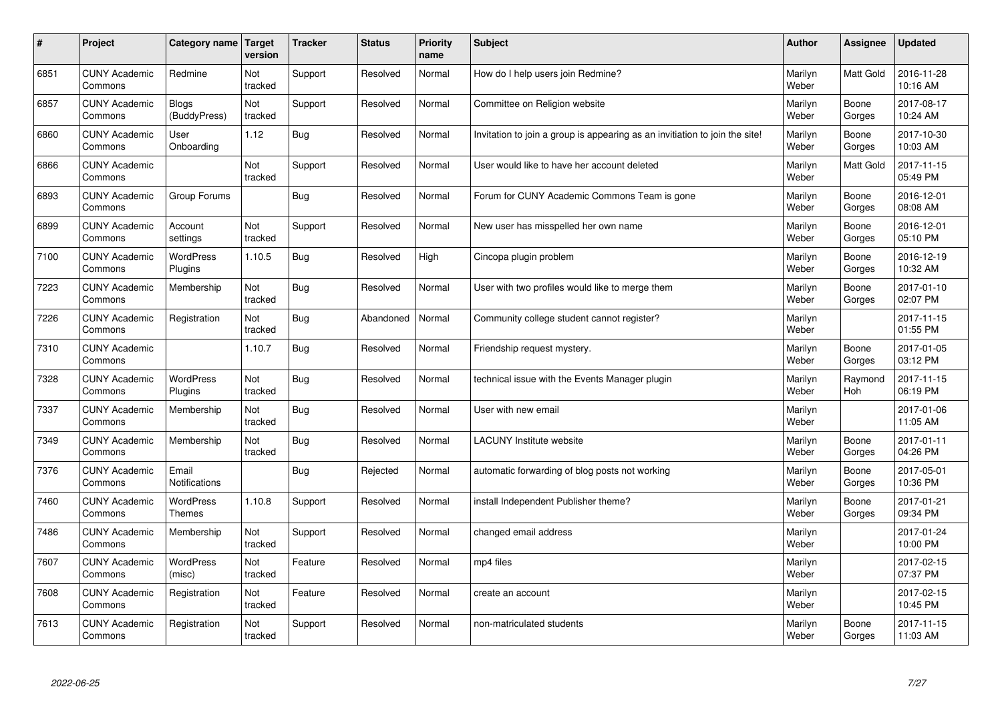| $\vert$ # | Project                         | Category name                | <b>Target</b><br>version | <b>Tracker</b> | <b>Status</b> | <b>Priority</b><br>name | <b>Subject</b>                                                              | <b>Author</b>    | <b>Assignee</b>       | <b>Updated</b>         |
|-----------|---------------------------------|------------------------------|--------------------------|----------------|---------------|-------------------------|-----------------------------------------------------------------------------|------------------|-----------------------|------------------------|
| 6851      | <b>CUNY Academic</b><br>Commons | Redmine                      | Not<br>tracked           | Support        | Resolved      | Normal                  | How do I help users join Redmine?                                           | Marilyn<br>Weber | <b>Matt Gold</b>      | 2016-11-28<br>10:16 AM |
| 6857      | <b>CUNY Academic</b><br>Commons | <b>Blogs</b><br>(BuddyPress) | Not<br>tracked           | Support        | Resolved      | Normal                  | Committee on Religion website                                               | Marilyn<br>Weber | Boone<br>Gorges       | 2017-08-17<br>10:24 AM |
| 6860      | <b>CUNY Academic</b><br>Commons | User<br>Onboarding           | 1.12                     | Bug            | Resolved      | Normal                  | Invitation to join a group is appearing as an invitiation to join the site! | Marilyn<br>Weber | Boone<br>Gorges       | 2017-10-30<br>10:03 AM |
| 6866      | <b>CUNY Academic</b><br>Commons |                              | Not<br>tracked           | Support        | Resolved      | Normal                  | User would like to have her account deleted                                 | Marilyn<br>Weber | Matt Gold             | 2017-11-15<br>05:49 PM |
| 6893      | <b>CUNY Academic</b><br>Commons | Group Forums                 |                          | Bug            | Resolved      | Normal                  | Forum for CUNY Academic Commons Team is gone                                | Marilyn<br>Weber | Boone<br>Gorges       | 2016-12-01<br>08:08 AM |
| 6899      | <b>CUNY Academic</b><br>Commons | Account<br>settings          | Not<br>tracked           | Support        | Resolved      | Normal                  | New user has misspelled her own name                                        | Marilyn<br>Weber | Boone<br>Gorges       | 2016-12-01<br>05:10 PM |
| 7100      | <b>CUNY Academic</b><br>Commons | <b>WordPress</b><br>Plugins  | 1.10.5                   | Bug            | Resolved      | High                    | Cincopa plugin problem                                                      | Marilyn<br>Weber | Boone<br>Gorges       | 2016-12-19<br>10:32 AM |
| 7223      | <b>CUNY Academic</b><br>Commons | Membership                   | Not<br>tracked           | Bug            | Resolved      | Normal                  | User with two profiles would like to merge them                             | Marilyn<br>Weber | Boone<br>Gorges       | 2017-01-10<br>02:07 PM |
| 7226      | <b>CUNY Academic</b><br>Commons | Registration                 | Not<br>tracked           | Bug            | Abandoned     | Normal                  | Community college student cannot register?                                  | Marilyn<br>Weber |                       | 2017-11-15<br>01:55 PM |
| 7310      | <b>CUNY Academic</b><br>Commons |                              | 1.10.7                   | Bug            | Resolved      | Normal                  | Friendship request mystery.                                                 | Marilyn<br>Weber | Boone<br>Gorges       | 2017-01-05<br>03:12 PM |
| 7328      | <b>CUNY Academic</b><br>Commons | WordPress<br>Plugins         | Not<br>tracked           | Bug            | Resolved      | Normal                  | technical issue with the Events Manager plugin                              | Marilyn<br>Weber | Raymond<br><b>Hoh</b> | 2017-11-15<br>06:19 PM |
| 7337      | <b>CUNY Academic</b><br>Commons | Membership                   | Not<br>tracked           | <b>Bug</b>     | Resolved      | Normal                  | User with new email                                                         | Marilyn<br>Weber |                       | 2017-01-06<br>11:05 AM |
| 7349      | <b>CUNY Academic</b><br>Commons | Membership                   | Not<br>tracked           | Bug            | Resolved      | Normal                  | <b>LACUNY</b> Institute website                                             | Marilyn<br>Weber | Boone<br>Gorges       | 2017-01-11<br>04:26 PM |
| 7376      | <b>CUNY Academic</b><br>Commons | Email<br>Notifications       |                          | Bug            | Rejected      | Normal                  | automatic forwarding of blog posts not working                              | Marilyn<br>Weber | Boone<br>Gorges       | 2017-05-01<br>10:36 PM |
| 7460      | <b>CUNY Academic</b><br>Commons | WordPress<br><b>Themes</b>   | 1.10.8                   | Support        | Resolved      | Normal                  | install Independent Publisher theme?                                        | Marilyn<br>Weber | Boone<br>Gorges       | 2017-01-21<br>09:34 PM |
| 7486      | <b>CUNY Academic</b><br>Commons | Membership                   | Not<br>tracked           | Support        | Resolved      | Normal                  | changed email address                                                       | Marilyn<br>Weber |                       | 2017-01-24<br>10:00 PM |
| 7607      | <b>CUNY Academic</b><br>Commons | <b>WordPress</b><br>(misc)   | Not<br>tracked           | Feature        | Resolved      | Normal                  | mp4 files                                                                   | Marilyn<br>Weber |                       | 2017-02-15<br>07:37 PM |
| 7608      | <b>CUNY Academic</b><br>Commons | Registration                 | Not<br>tracked           | Feature        | Resolved      | Normal                  | create an account                                                           | Marilyn<br>Weber |                       | 2017-02-15<br>10:45 PM |
| 7613      | <b>CUNY Academic</b><br>Commons | Registration                 | Not<br>tracked           | Support        | Resolved      | Normal                  | non-matriculated students                                                   | Marilyn<br>Weber | Boone<br>Gorges       | 2017-11-15<br>11:03 AM |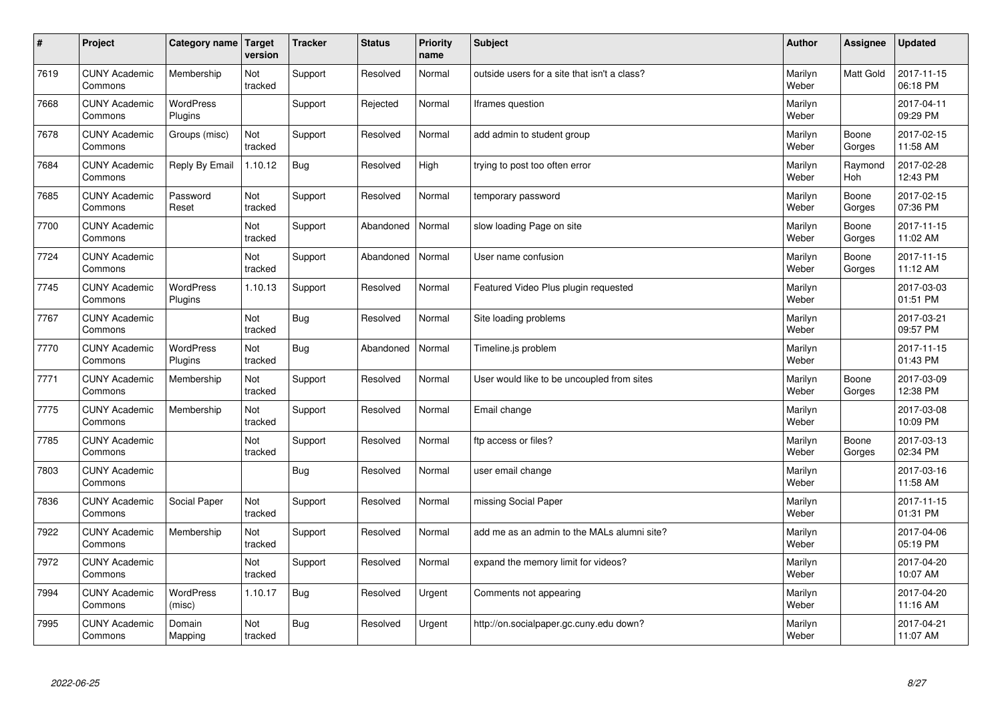| $\sharp$ | Project                         | Category name   Target      | version        | <b>Tracker</b> | <b>Status</b> | <b>Priority</b><br>name | <b>Subject</b>                               | <b>Author</b>    | Assignee              | <b>Updated</b>         |
|----------|---------------------------------|-----------------------------|----------------|----------------|---------------|-------------------------|----------------------------------------------|------------------|-----------------------|------------------------|
| 7619     | <b>CUNY Academic</b><br>Commons | Membership                  | Not<br>tracked | Support        | Resolved      | Normal                  | outside users for a site that isn't a class? | Marilyn<br>Weber | <b>Matt Gold</b>      | 2017-11-15<br>06:18 PM |
| 7668     | <b>CUNY Academic</b><br>Commons | <b>WordPress</b><br>Plugins |                | Support        | Rejected      | Normal                  | Iframes question                             | Marilyn<br>Weber |                       | 2017-04-11<br>09:29 PM |
| 7678     | <b>CUNY Academic</b><br>Commons | Groups (misc)               | Not<br>tracked | Support        | Resolved      | Normal                  | add admin to student group                   | Marilyn<br>Weber | Boone<br>Gorges       | 2017-02-15<br>11:58 AM |
| 7684     | <b>CUNY Academic</b><br>Commons | Reply By Email              | 1.10.12        | Bug            | Resolved      | High                    | trying to post too often error               | Marilyn<br>Weber | Raymond<br><b>Hoh</b> | 2017-02-28<br>12:43 PM |
| 7685     | <b>CUNY Academic</b><br>Commons | Password<br>Reset           | Not<br>tracked | Support        | Resolved      | Normal                  | temporary password                           | Marilyn<br>Weber | Boone<br>Gorges       | 2017-02-15<br>07:36 PM |
| 7700     | <b>CUNY Academic</b><br>Commons |                             | Not<br>tracked | Support        | Abandoned     | Normal                  | slow loading Page on site                    | Marilyn<br>Weber | Boone<br>Gorges       | 2017-11-15<br>11:02 AM |
| 7724     | <b>CUNY Academic</b><br>Commons |                             | Not<br>tracked | Support        | Abandoned     | Normal                  | User name confusion                          | Marilyn<br>Weber | Boone<br>Gorges       | 2017-11-15<br>11:12 AM |
| 7745     | <b>CUNY Academic</b><br>Commons | WordPress<br>Plugins        | 1.10.13        | Support        | Resolved      | Normal                  | Featured Video Plus plugin requested         | Marilyn<br>Weber |                       | 2017-03-03<br>01:51 PM |
| 7767     | <b>CUNY Academic</b><br>Commons |                             | Not<br>tracked | Bug            | Resolved      | Normal                  | Site loading problems                        | Marilyn<br>Weber |                       | 2017-03-21<br>09:57 PM |
| 7770     | <b>CUNY Academic</b><br>Commons | WordPress<br>Plugins        | Not<br>tracked | Bug            | Abandoned     | Normal                  | Timeline.js problem                          | Marilyn<br>Weber |                       | 2017-11-15<br>01:43 PM |
| 7771     | <b>CUNY Academic</b><br>Commons | Membership                  | Not<br>tracked | Support        | Resolved      | Normal                  | User would like to be uncoupled from sites   | Marilyn<br>Weber | Boone<br>Gorges       | 2017-03-09<br>12:38 PM |
| 7775     | <b>CUNY Academic</b><br>Commons | Membership                  | Not<br>tracked | Support        | Resolved      | Normal                  | Email change                                 | Marilyn<br>Weber |                       | 2017-03-08<br>10:09 PM |
| 7785     | <b>CUNY Academic</b><br>Commons |                             | Not<br>tracked | Support        | Resolved      | Normal                  | ftp access or files?                         | Marilyn<br>Weber | Boone<br>Gorges       | 2017-03-13<br>02:34 PM |
| 7803     | <b>CUNY Academic</b><br>Commons |                             |                | Bug            | Resolved      | Normal                  | user email change                            | Marilyn<br>Weber |                       | 2017-03-16<br>11:58 AM |
| 7836     | <b>CUNY Academic</b><br>Commons | Social Paper                | Not<br>tracked | Support        | Resolved      | Normal                  | missing Social Paper                         | Marilyn<br>Weber |                       | 2017-11-15<br>01:31 PM |
| 7922     | <b>CUNY Academic</b><br>Commons | Membership                  | Not<br>tracked | Support        | Resolved      | Normal                  | add me as an admin to the MALs alumni site?  | Marilyn<br>Weber |                       | 2017-04-06<br>05:19 PM |
| 7972     | <b>CUNY Academic</b><br>Commons |                             | Not<br>tracked | Support        | Resolved      | Normal                  | expand the memory limit for videos?          | Marilyn<br>Weber |                       | 2017-04-20<br>10:07 AM |
| 7994     | <b>CUNY Academic</b><br>Commons | <b>WordPress</b><br>(misc)  | 1.10.17        | Bug            | Resolved      | Urgent                  | Comments not appearing                       | Marilyn<br>Weber |                       | 2017-04-20<br>11:16 AM |
| 7995     | <b>CUNY Academic</b><br>Commons | Domain<br>Mapping           | Not<br>tracked | Bug            | Resolved      | Urgent                  | http://on.socialpaper.gc.cuny.edu down?      | Marilyn<br>Weber |                       | 2017-04-21<br>11:07 AM |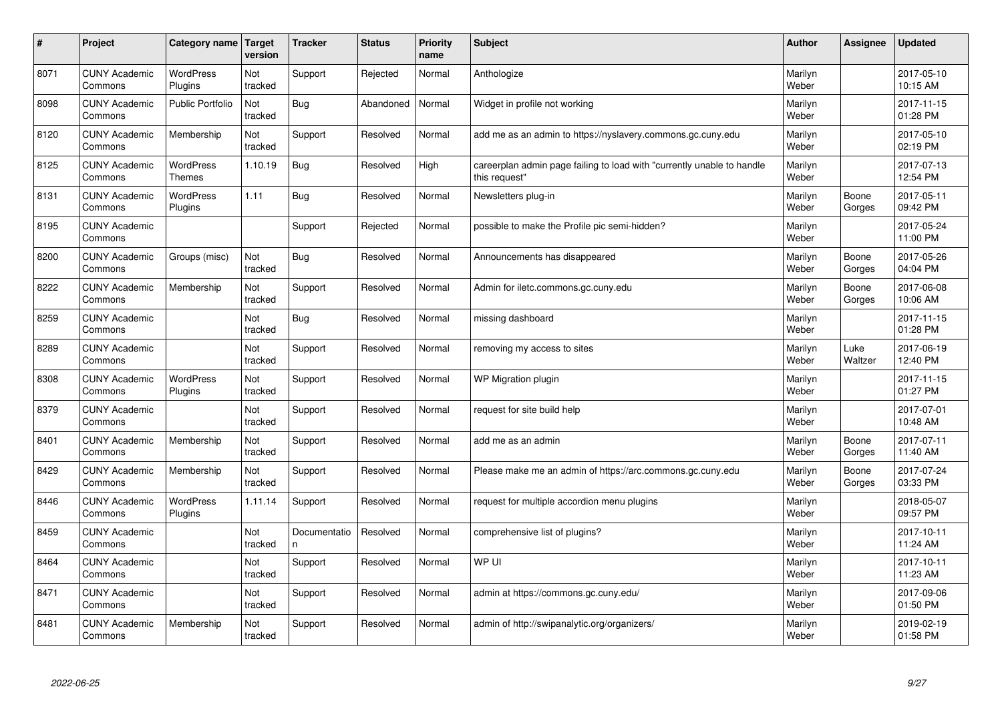| #    | Project                         | Category name   Target      | version        | <b>Tracker</b>     | <b>Status</b> | <b>Priority</b><br>name | <b>Subject</b>                                                                          | <b>Author</b>    | <b>Assignee</b> | <b>Updated</b>         |
|------|---------------------------------|-----------------------------|----------------|--------------------|---------------|-------------------------|-----------------------------------------------------------------------------------------|------------------|-----------------|------------------------|
| 8071 | <b>CUNY Academic</b><br>Commons | <b>WordPress</b><br>Plugins | Not<br>tracked | Support            | Rejected      | Normal                  | Anthologize                                                                             | Marilyn<br>Weber |                 | 2017-05-10<br>10:15 AM |
| 8098 | <b>CUNY Academic</b><br>Commons | <b>Public Portfolio</b>     | Not<br>tracked | <b>Bug</b>         | Abandoned     | Normal                  | Widget in profile not working                                                           | Marilyn<br>Weber |                 | 2017-11-15<br>01:28 PM |
| 8120 | <b>CUNY Academic</b><br>Commons | Membership                  | Not<br>tracked | Support            | Resolved      | Normal                  | add me as an admin to https://nyslavery.commons.gc.cuny.edu                             | Marilyn<br>Weber |                 | 2017-05-10<br>02:19 PM |
| 8125 | <b>CUNY Academic</b><br>Commons | WordPress<br><b>Themes</b>  | 1.10.19        | Bug                | Resolved      | High                    | careerplan admin page failing to load with "currently unable to handle<br>this request" | Marilyn<br>Weber |                 | 2017-07-13<br>12:54 PM |
| 8131 | <b>CUNY Academic</b><br>Commons | WordPress<br>Plugins        | 1.11           | <b>Bug</b>         | Resolved      | Normal                  | Newsletters plug-in                                                                     | Marilyn<br>Weber | Boone<br>Gorges | 2017-05-11<br>09:42 PM |
| 8195 | <b>CUNY Academic</b><br>Commons |                             |                | Support            | Rejected      | Normal                  | possible to make the Profile pic semi-hidden?                                           | Marilyn<br>Weber |                 | 2017-05-24<br>11:00 PM |
| 8200 | <b>CUNY Academic</b><br>Commons | Groups (misc)               | Not<br>tracked | Bug                | Resolved      | Normal                  | Announcements has disappeared                                                           | Marilyn<br>Weber | Boone<br>Gorges | 2017-05-26<br>04:04 PM |
| 8222 | <b>CUNY Academic</b><br>Commons | Membership                  | Not<br>tracked | Support            | Resolved      | Normal                  | Admin for iletc.commons.gc.cuny.edu                                                     | Marilyn<br>Weber | Boone<br>Gorges | 2017-06-08<br>10:06 AM |
| 8259 | <b>CUNY Academic</b><br>Commons |                             | Not<br>tracked | Bug                | Resolved      | Normal                  | missing dashboard                                                                       | Marilyn<br>Weber |                 | 2017-11-15<br>01:28 PM |
| 8289 | <b>CUNY Academic</b><br>Commons |                             | Not<br>tracked | Support            | Resolved      | Normal                  | removing my access to sites                                                             | Marilyn<br>Weber | Luke<br>Waltzer | 2017-06-19<br>12:40 PM |
| 8308 | <b>CUNY Academic</b><br>Commons | <b>WordPress</b><br>Plugins | Not<br>tracked | Support            | Resolved      | Normal                  | WP Migration plugin                                                                     | Marilyn<br>Weber |                 | 2017-11-15<br>01:27 PM |
| 8379 | <b>CUNY Academic</b><br>Commons |                             | Not<br>tracked | Support            | Resolved      | Normal                  | request for site build help                                                             | Marilyn<br>Weber |                 | 2017-07-01<br>10:48 AM |
| 8401 | <b>CUNY Academic</b><br>Commons | Membership                  | Not<br>tracked | Support            | Resolved      | Normal                  | add me as an admin                                                                      | Marilyn<br>Weber | Boone<br>Gorges | 2017-07-11<br>11:40 AM |
| 8429 | <b>CUNY Academic</b><br>Commons | Membership                  | Not<br>tracked | Support            | Resolved      | Normal                  | Please make me an admin of https://arc.commons.gc.cuny.edu                              | Marilyn<br>Weber | Boone<br>Gorges | 2017-07-24<br>03:33 PM |
| 8446 | <b>CUNY Academic</b><br>Commons | <b>WordPress</b><br>Plugins | 1.11.14        | Support            | Resolved      | Normal                  | request for multiple accordion menu plugins                                             | Marilyn<br>Weber |                 | 2018-05-07<br>09:57 PM |
| 8459 | <b>CUNY Academic</b><br>Commons |                             | Not<br>tracked | Documentatio<br>n. | Resolved      | Normal                  | comprehensive list of plugins?                                                          | Marilyn<br>Weber |                 | 2017-10-11<br>11:24 AM |
| 8464 | <b>CUNY Academic</b><br>Commons |                             | Not<br>tracked | Support            | Resolved      | Normal                  | WP UI                                                                                   | Marilyn<br>Weber |                 | 2017-10-11<br>11:23 AM |
| 8471 | <b>CUNY Academic</b><br>Commons |                             | Not<br>tracked | Support            | Resolved      | Normal                  | admin at https://commons.gc.cuny.edu/                                                   | Marilyn<br>Weber |                 | 2017-09-06<br>01:50 PM |
| 8481 | <b>CUNY Academic</b><br>Commons | Membership                  | Not<br>tracked | Support            | Resolved      | Normal                  | admin of http://swipanalytic.org/organizers/                                            | Marilyn<br>Weber |                 | 2019-02-19<br>01:58 PM |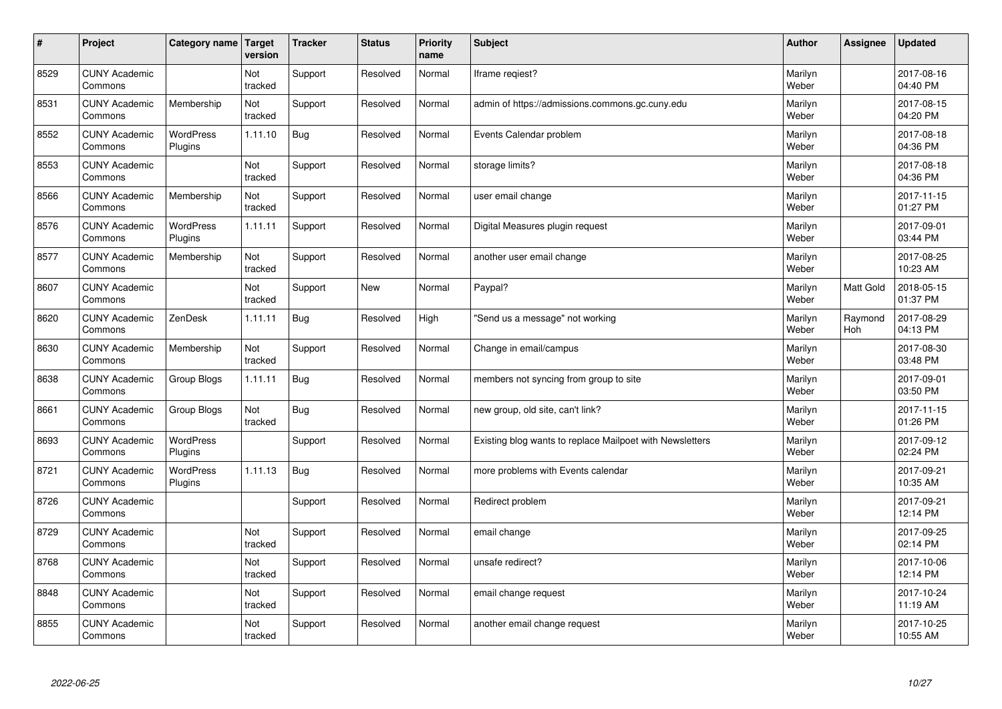| $\vert$ # | Project                         | Category name   Target      | version        | <b>Tracker</b> | <b>Status</b> | <b>Priority</b><br>name | <b>Subject</b>                                           | <b>Author</b>    | Assignee              | <b>Updated</b>         |
|-----------|---------------------------------|-----------------------------|----------------|----------------|---------------|-------------------------|----------------------------------------------------------|------------------|-----------------------|------------------------|
| 8529      | <b>CUNY Academic</b><br>Commons |                             | Not<br>tracked | Support        | Resolved      | Normal                  | Iframe reqiest?                                          | Marilyn<br>Weber |                       | 2017-08-16<br>04:40 PM |
| 8531      | <b>CUNY Academic</b><br>Commons | Membership                  | Not<br>tracked | Support        | Resolved      | Normal                  | admin of https://admissions.commons.gc.cuny.edu          | Marilyn<br>Weber |                       | 2017-08-15<br>04:20 PM |
| 8552      | <b>CUNY Academic</b><br>Commons | WordPress<br>Plugins        | 1.11.10        | Bug            | Resolved      | Normal                  | Events Calendar problem                                  | Marilyn<br>Weber |                       | 2017-08-18<br>04:36 PM |
| 8553      | <b>CUNY Academic</b><br>Commons |                             | Not<br>tracked | Support        | Resolved      | Normal                  | storage limits?                                          | Marilyn<br>Weber |                       | 2017-08-18<br>04:36 PM |
| 8566      | <b>CUNY Academic</b><br>Commons | Membership                  | Not<br>tracked | Support        | Resolved      | Normal                  | user email change                                        | Marilyn<br>Weber |                       | 2017-11-15<br>01:27 PM |
| 8576      | <b>CUNY Academic</b><br>Commons | WordPress<br>Plugins        | 1.11.11        | Support        | Resolved      | Normal                  | Digital Measures plugin request                          | Marilyn<br>Weber |                       | 2017-09-01<br>03:44 PM |
| 8577      | <b>CUNY Academic</b><br>Commons | Membership                  | Not<br>tracked | Support        | Resolved      | Normal                  | another user email change                                | Marilyn<br>Weber |                       | 2017-08-25<br>10:23 AM |
| 8607      | <b>CUNY Academic</b><br>Commons |                             | Not<br>tracked | Support        | <b>New</b>    | Normal                  | Paypal?                                                  | Marilyn<br>Weber | Matt Gold             | 2018-05-15<br>01:37 PM |
| 8620      | <b>CUNY Academic</b><br>Commons | ZenDesk                     | 1.11.11        | Bug            | Resolved      | High                    | 'Send us a message" not working                          | Marilyn<br>Weber | Raymond<br><b>Hoh</b> | 2017-08-29<br>04:13 PM |
| 8630      | <b>CUNY Academic</b><br>Commons | Membership                  | Not<br>tracked | Support        | Resolved      | Normal                  | Change in email/campus                                   | Marilyn<br>Weber |                       | 2017-08-30<br>03:48 PM |
| 8638      | <b>CUNY Academic</b><br>Commons | Group Blogs                 | 1.11.11        | Bug            | Resolved      | Normal                  | members not syncing from group to site                   | Marilyn<br>Weber |                       | 2017-09-01<br>03:50 PM |
| 8661      | <b>CUNY Academic</b><br>Commons | Group Blogs                 | Not<br>tracked | Bug            | Resolved      | Normal                  | new group, old site, can't link?                         | Marilyn<br>Weber |                       | 2017-11-15<br>01:26 PM |
| 8693      | <b>CUNY Academic</b><br>Commons | WordPress<br>Plugins        |                | Support        | Resolved      | Normal                  | Existing blog wants to replace Mailpoet with Newsletters | Marilyn<br>Weber |                       | 2017-09-12<br>02:24 PM |
| 8721      | <b>CUNY Academic</b><br>Commons | <b>WordPress</b><br>Plugins | 1.11.13        | Bug            | Resolved      | Normal                  | more problems with Events calendar                       | Marilyn<br>Weber |                       | 2017-09-21<br>10:35 AM |
| 8726      | <b>CUNY Academic</b><br>Commons |                             |                | Support        | Resolved      | Normal                  | Redirect problem                                         | Marilyn<br>Weber |                       | 2017-09-21<br>12:14 PM |
| 8729      | <b>CUNY Academic</b><br>Commons |                             | Not<br>tracked | Support        | Resolved      | Normal                  | email change                                             | Marilyn<br>Weber |                       | 2017-09-25<br>02:14 PM |
| 8768      | <b>CUNY Academic</b><br>Commons |                             | Not<br>tracked | Support        | Resolved      | Normal                  | unsafe redirect?                                         | Marilyn<br>Weber |                       | 2017-10-06<br>12:14 PM |
| 8848      | <b>CUNY Academic</b><br>Commons |                             | Not<br>tracked | Support        | Resolved      | Normal                  | email change request                                     | Marilyn<br>Weber |                       | 2017-10-24<br>11:19 AM |
| 8855      | <b>CUNY Academic</b><br>Commons |                             | Not<br>tracked | Support        | Resolved      | Normal                  | another email change request                             | Marilyn<br>Weber |                       | 2017-10-25<br>10:55 AM |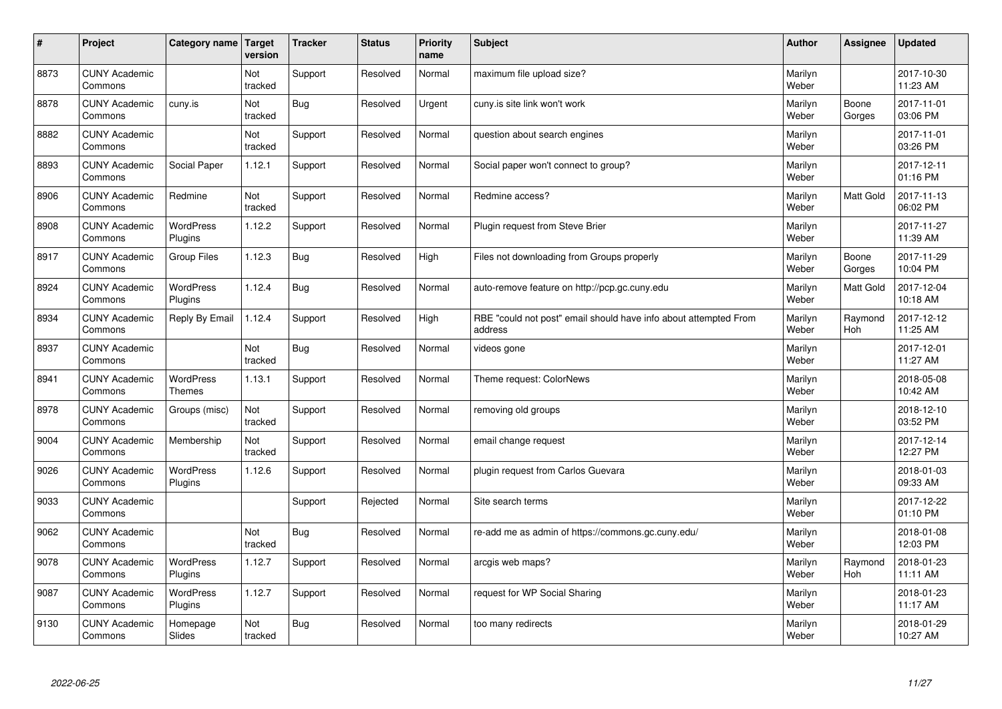| $\sharp$ | Project                         | Category name   Target             | version        | <b>Tracker</b> | <b>Status</b> | <b>Priority</b><br>name | <b>Subject</b>                                                              | <b>Author</b>    | Assignee         | <b>Updated</b>         |
|----------|---------------------------------|------------------------------------|----------------|----------------|---------------|-------------------------|-----------------------------------------------------------------------------|------------------|------------------|------------------------|
| 8873     | <b>CUNY Academic</b><br>Commons |                                    | Not<br>tracked | Support        | Resolved      | Normal                  | maximum file upload size?                                                   | Marilyn<br>Weber |                  | 2017-10-30<br>11:23 AM |
| 8878     | <b>CUNY Academic</b><br>Commons | cuny.is                            | Not<br>tracked | <b>Bug</b>     | Resolved      | Urgent                  | cuny.is site link won't work                                                | Marilyn<br>Weber | Boone<br>Gorges  | 2017-11-01<br>03:06 PM |
| 8882     | <b>CUNY Academic</b><br>Commons |                                    | Not<br>tracked | Support        | Resolved      | Normal                  | question about search engines                                               | Marilyn<br>Weber |                  | 2017-11-01<br>03:26 PM |
| 8893     | <b>CUNY Academic</b><br>Commons | Social Paper                       | 1.12.1         | Support        | Resolved      | Normal                  | Social paper won't connect to group?                                        | Marilyn<br>Weber |                  | 2017-12-11<br>01:16 PM |
| 8906     | <b>CUNY Academic</b><br>Commons | Redmine                            | Not<br>tracked | Support        | Resolved      | Normal                  | Redmine access?                                                             | Marilyn<br>Weber | <b>Matt Gold</b> | 2017-11-13<br>06:02 PM |
| 8908     | <b>CUNY Academic</b><br>Commons | <b>WordPress</b><br><b>Plugins</b> | 1.12.2         | Support        | Resolved      | Normal                  | Plugin request from Steve Brier                                             | Marilyn<br>Weber |                  | 2017-11-27<br>11:39 AM |
| 8917     | <b>CUNY Academic</b><br>Commons | <b>Group Files</b>                 | 1.12.3         | Bug            | Resolved      | High                    | Files not downloading from Groups properly                                  | Marilyn<br>Weber | Boone<br>Gorges  | 2017-11-29<br>10:04 PM |
| 8924     | <b>CUNY Academic</b><br>Commons | WordPress<br>Plugins               | 1.12.4         | Bug            | Resolved      | Normal                  | auto-remove feature on http://pcp.gc.cuny.edu                               | Marilyn<br>Weber | <b>Matt Gold</b> | 2017-12-04<br>10:18 AM |
| 8934     | <b>CUNY Academic</b><br>Commons | Reply By Email                     | 1.12.4         | Support        | Resolved      | High                    | RBE "could not post" email should have info about attempted From<br>address | Marilyn<br>Weber | Raymond<br>Hoh   | 2017-12-12<br>11:25 AM |
| 8937     | <b>CUNY Academic</b><br>Commons |                                    | Not<br>tracked | <b>Bug</b>     | Resolved      | Normal                  | videos gone                                                                 | Marilyn<br>Weber |                  | 2017-12-01<br>11:27 AM |
| 8941     | <b>CUNY Academic</b><br>Commons | <b>WordPress</b><br><b>Themes</b>  | 1.13.1         | Support        | Resolved      | Normal                  | Theme request: ColorNews                                                    | Marilyn<br>Weber |                  | 2018-05-08<br>10:42 AM |
| 8978     | <b>CUNY Academic</b><br>Commons | Groups (misc)                      | Not<br>tracked | Support        | Resolved      | Normal                  | removing old groups                                                         | Marilyn<br>Weber |                  | 2018-12-10<br>03:52 PM |
| 9004     | <b>CUNY Academic</b><br>Commons | Membership                         | Not<br>tracked | Support        | Resolved      | Normal                  | email change request                                                        | Marilyn<br>Weber |                  | 2017-12-14<br>12:27 PM |
| 9026     | <b>CUNY Academic</b><br>Commons | WordPress<br>Plugins               | 1.12.6         | Support        | Resolved      | Normal                  | plugin request from Carlos Guevara                                          | Marilyn<br>Weber |                  | 2018-01-03<br>09:33 AM |
| 9033     | <b>CUNY Academic</b><br>Commons |                                    |                | Support        | Rejected      | Normal                  | Site search terms                                                           | Marilyn<br>Weber |                  | 2017-12-22<br>01:10 PM |
| 9062     | <b>CUNY Academic</b><br>Commons |                                    | Not<br>tracked | Bug            | Resolved      | Normal                  | re-add me as admin of https://commons.gc.cuny.edu/                          | Marilyn<br>Weber |                  | 2018-01-08<br>12:03 PM |
| 9078     | <b>CUNY Academic</b><br>Commons | WordPress<br>Plugins               | 1.12.7         | Support        | Resolved      | Normal                  | arcgis web maps?                                                            | Marilyn<br>Weber | Raymond<br>Hoh   | 2018-01-23<br>11:11 AM |
| 9087     | <b>CUNY Academic</b><br>Commons | <b>WordPress</b><br>Plugins        | 1.12.7         | Support        | Resolved      | Normal                  | request for WP Social Sharing                                               | Marilyn<br>Weber |                  | 2018-01-23<br>11:17 AM |
| 9130     | <b>CUNY Academic</b><br>Commons | Homepage<br>Slides                 | Not<br>tracked | Bug            | Resolved      | Normal                  | too many redirects                                                          | Marilyn<br>Weber |                  | 2018-01-29<br>10:27 AM |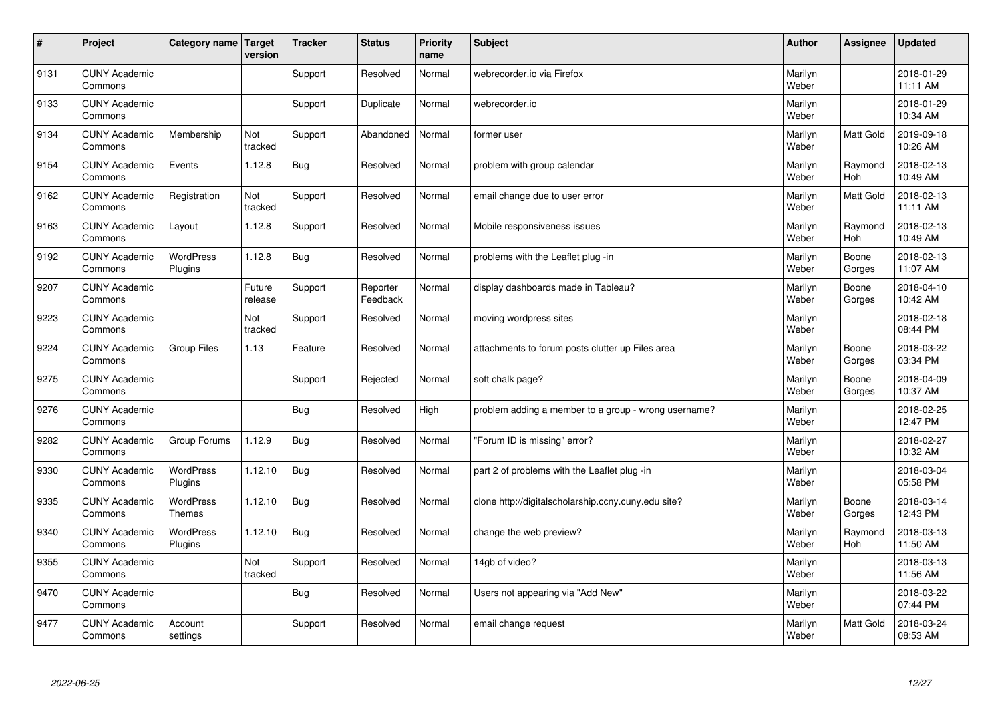| $\sharp$ | Project                         | Category name   Target      | version           | <b>Tracker</b> | <b>Status</b>        | <b>Priority</b><br>name | <b>Subject</b>                                       | <b>Author</b>    | Assignee              | <b>Updated</b>         |
|----------|---------------------------------|-----------------------------|-------------------|----------------|----------------------|-------------------------|------------------------------------------------------|------------------|-----------------------|------------------------|
| 9131     | <b>CUNY Academic</b><br>Commons |                             |                   | Support        | Resolved             | Normal                  | webrecorder.jo via Firefox                           | Marilyn<br>Weber |                       | 2018-01-29<br>11:11 AM |
| 9133     | <b>CUNY Academic</b><br>Commons |                             |                   | Support        | Duplicate            | Normal                  | webrecorder.io                                       | Marilyn<br>Weber |                       | 2018-01-29<br>10:34 AM |
| 9134     | <b>CUNY Academic</b><br>Commons | Membership                  | Not<br>tracked    | Support        | Abandoned            | Normal                  | former user                                          | Marilyn<br>Weber | Matt Gold             | 2019-09-18<br>10:26 AM |
| 9154     | <b>CUNY Academic</b><br>Commons | Events                      | 1.12.8            | Bug            | Resolved             | Normal                  | problem with group calendar                          | Marilyn<br>Weber | Raymond<br>Hoh        | 2018-02-13<br>10:49 AM |
| 9162     | <b>CUNY Academic</b><br>Commons | Registration                | Not<br>tracked    | Support        | Resolved             | Normal                  | email change due to user error                       | Marilyn<br>Weber | <b>Matt Gold</b>      | 2018-02-13<br>11:11 AM |
| 9163     | <b>CUNY Academic</b><br>Commons | Layout                      | 1.12.8            | Support        | Resolved             | Normal                  | Mobile responsiveness issues                         | Marilyn<br>Weber | Raymond<br>Hoh        | 2018-02-13<br>10:49 AM |
| 9192     | <b>CUNY Academic</b><br>Commons | <b>WordPress</b><br>Plugins | 1.12.8            | Bug            | Resolved             | Normal                  | problems with the Leaflet plug -in                   | Marilyn<br>Weber | Boone<br>Gorges       | 2018-02-13<br>11:07 AM |
| 9207     | <b>CUNY Academic</b><br>Commons |                             | Future<br>release | Support        | Reporter<br>Feedback | Normal                  | display dashboards made in Tableau?                  | Marilyn<br>Weber | Boone<br>Gorges       | 2018-04-10<br>10:42 AM |
| 9223     | <b>CUNY Academic</b><br>Commons |                             | Not<br>tracked    | Support        | Resolved             | Normal                  | moving wordpress sites                               | Marilyn<br>Weber |                       | 2018-02-18<br>08:44 PM |
| 9224     | <b>CUNY Academic</b><br>Commons | <b>Group Files</b>          | 1.13              | Feature        | Resolved             | Normal                  | attachments to forum posts clutter up Files area     | Marilyn<br>Weber | Boone<br>Gorges       | 2018-03-22<br>03:34 PM |
| 9275     | <b>CUNY Academic</b><br>Commons |                             |                   | Support        | Rejected             | Normal                  | soft chalk page?                                     | Marilyn<br>Weber | Boone<br>Gorges       | 2018-04-09<br>10:37 AM |
| 9276     | <b>CUNY Academic</b><br>Commons |                             |                   | Bug            | Resolved             | High                    | problem adding a member to a group - wrong username? | Marilyn<br>Weber |                       | 2018-02-25<br>12:47 PM |
| 9282     | <b>CUNY Academic</b><br>Commons | Group Forums                | 1.12.9            | Bug            | Resolved             | Normal                  | 'Forum ID is missing" error?                         | Marilyn<br>Weber |                       | 2018-02-27<br>10:32 AM |
| 9330     | <b>CUNY Academic</b><br>Commons | WordPress<br>Plugins        | 1.12.10           | Bug            | Resolved             | Normal                  | part 2 of problems with the Leaflet plug -in         | Marilyn<br>Weber |                       | 2018-03-04<br>05:58 PM |
| 9335     | <b>CUNY Academic</b><br>Commons | WordPress<br><b>Themes</b>  | 1.12.10           | Bug            | Resolved             | Normal                  | clone http://digitalscholarship.ccny.cuny.edu site?  | Marilyn<br>Weber | Boone<br>Gorges       | 2018-03-14<br>12:43 PM |
| 9340     | <b>CUNY Academic</b><br>Commons | <b>WordPress</b><br>Plugins | 1.12.10           | Bug            | Resolved             | Normal                  | change the web preview?                              | Marilyn<br>Weber | Raymond<br><b>Hoh</b> | 2018-03-13<br>11:50 AM |
| 9355     | <b>CUNY Academic</b><br>Commons |                             | Not<br>tracked    | Support        | Resolved             | Normal                  | 14gb of video?                                       | Marilyn<br>Weber |                       | 2018-03-13<br>11:56 AM |
| 9470     | <b>CUNY Academic</b><br>Commons |                             |                   | Bug            | Resolved             | Normal                  | Users not appearing via "Add New"                    | Marilyn<br>Weber |                       | 2018-03-22<br>07:44 PM |
| 9477     | <b>CUNY Academic</b><br>Commons | Account<br>settings         |                   | Support        | Resolved             | Normal                  | email change request                                 | Marilyn<br>Weber | <b>Matt Gold</b>      | 2018-03-24<br>08:53 AM |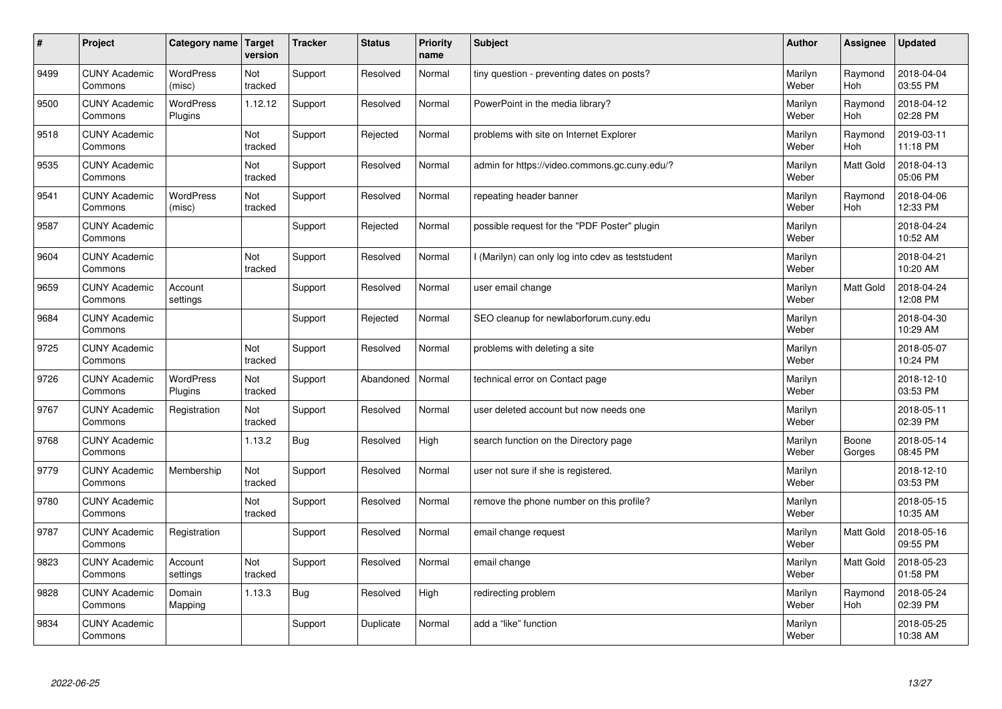| #    | Project                         | Category name   Target      | version        | <b>Tracker</b> | <b>Status</b> | <b>Priority</b><br>name | <b>Subject</b>                                    | <b>Author</b>    | <b>Assignee</b>       | <b>Updated</b>         |
|------|---------------------------------|-----------------------------|----------------|----------------|---------------|-------------------------|---------------------------------------------------|------------------|-----------------------|------------------------|
| 9499 | <b>CUNY Academic</b><br>Commons | <b>WordPress</b><br>(misc)  | Not<br>tracked | Support        | Resolved      | Normal                  | tiny question - preventing dates on posts?        | Marilyn<br>Weber | Raymond<br><b>Hoh</b> | 2018-04-04<br>03:55 PM |
| 9500 | <b>CUNY Academic</b><br>Commons | <b>WordPress</b><br>Plugins | 1.12.12        | Support        | Resolved      | Normal                  | PowerPoint in the media library?                  | Marilyn<br>Weber | Raymond<br>Hoh        | 2018-04-12<br>02:28 PM |
| 9518 | <b>CUNY Academic</b><br>Commons |                             | Not<br>tracked | Support        | Rejected      | Normal                  | problems with site on Internet Explorer           | Marilyn<br>Weber | Raymond<br><b>Hoh</b> | 2019-03-11<br>11:18 PM |
| 9535 | <b>CUNY Academic</b><br>Commons |                             | Not<br>tracked | Support        | Resolved      | Normal                  | admin for https://video.commons.gc.cuny.edu/?     | Marilyn<br>Weber | Matt Gold             | 2018-04-13<br>05:06 PM |
| 9541 | <b>CUNY Academic</b><br>Commons | <b>WordPress</b><br>(misc)  | Not<br>tracked | Support        | Resolved      | Normal                  | repeating header banner                           | Marilyn<br>Weber | Raymond<br><b>Hoh</b> | 2018-04-06<br>12:33 PM |
| 9587 | <b>CUNY Academic</b><br>Commons |                             |                | Support        | Rejected      | Normal                  | possible request for the "PDF Poster" plugin      | Marilyn<br>Weber |                       | 2018-04-24<br>10:52 AM |
| 9604 | <b>CUNY Academic</b><br>Commons |                             | Not<br>tracked | Support        | Resolved      | Normal                  | I (Marilyn) can only log into cdev as teststudent | Marilyn<br>Weber |                       | 2018-04-21<br>10:20 AM |
| 9659 | <b>CUNY Academic</b><br>Commons | Account<br>settings         |                | Support        | Resolved      | Normal                  | user email change                                 | Marilyn<br>Weber | Matt Gold             | 2018-04-24<br>12:08 PM |
| 9684 | <b>CUNY Academic</b><br>Commons |                             |                | Support        | Rejected      | Normal                  | SEO cleanup for newlaborforum.cuny.edu            | Marilyn<br>Weber |                       | 2018-04-30<br>10:29 AM |
| 9725 | <b>CUNY Academic</b><br>Commons |                             | Not<br>tracked | Support        | Resolved      | Normal                  | problems with deleting a site                     | Marilyn<br>Weber |                       | 2018-05-07<br>10:24 PM |
| 9726 | <b>CUNY Academic</b><br>Commons | <b>WordPress</b><br>Plugins | Not<br>tracked | Support        | Abandoned     | Normal                  | technical error on Contact page                   | Marilyn<br>Weber |                       | 2018-12-10<br>03:53 PM |
| 9767 | <b>CUNY Academic</b><br>Commons | Registration                | Not<br>tracked | Support        | Resolved      | Normal                  | user deleted account but now needs one            | Marilyn<br>Weber |                       | 2018-05-11<br>02:39 PM |
| 9768 | <b>CUNY Academic</b><br>Commons |                             | 1.13.2         | Bug            | Resolved      | High                    | search function on the Directory page             | Marilyn<br>Weber | Boone<br>Gorges       | 2018-05-14<br>08:45 PM |
| 9779 | <b>CUNY Academic</b><br>Commons | Membership                  | Not<br>tracked | Support        | Resolved      | Normal                  | user not sure if she is registered.               | Marilyn<br>Weber |                       | 2018-12-10<br>03:53 PM |
| 9780 | <b>CUNY Academic</b><br>Commons |                             | Not<br>tracked | Support        | Resolved      | Normal                  | remove the phone number on this profile?          | Marilyn<br>Weber |                       | 2018-05-15<br>10:35 AM |
| 9787 | <b>CUNY Academic</b><br>Commons | Registration                |                | Support        | Resolved      | Normal                  | email change request                              | Marilyn<br>Weber | <b>Matt Gold</b>      | 2018-05-16<br>09:55 PM |
| 9823 | <b>CUNY Academic</b><br>Commons | Account<br>settings         | Not<br>tracked | Support        | Resolved      | Normal                  | email change                                      | Marilyn<br>Weber | Matt Gold             | 2018-05-23<br>01:58 PM |
| 9828 | <b>CUNY Academic</b><br>Commons | Domain<br>Mapping           | 1.13.3         | <b>Bug</b>     | Resolved      | High                    | redirecting problem                               | Marilyn<br>Weber | Raymond<br><b>Hoh</b> | 2018-05-24<br>02:39 PM |
| 9834 | <b>CUNY Academic</b><br>Commons |                             |                | Support        | Duplicate     | Normal                  | add a "like" function                             | Marilyn<br>Weber |                       | 2018-05-25<br>10:38 AM |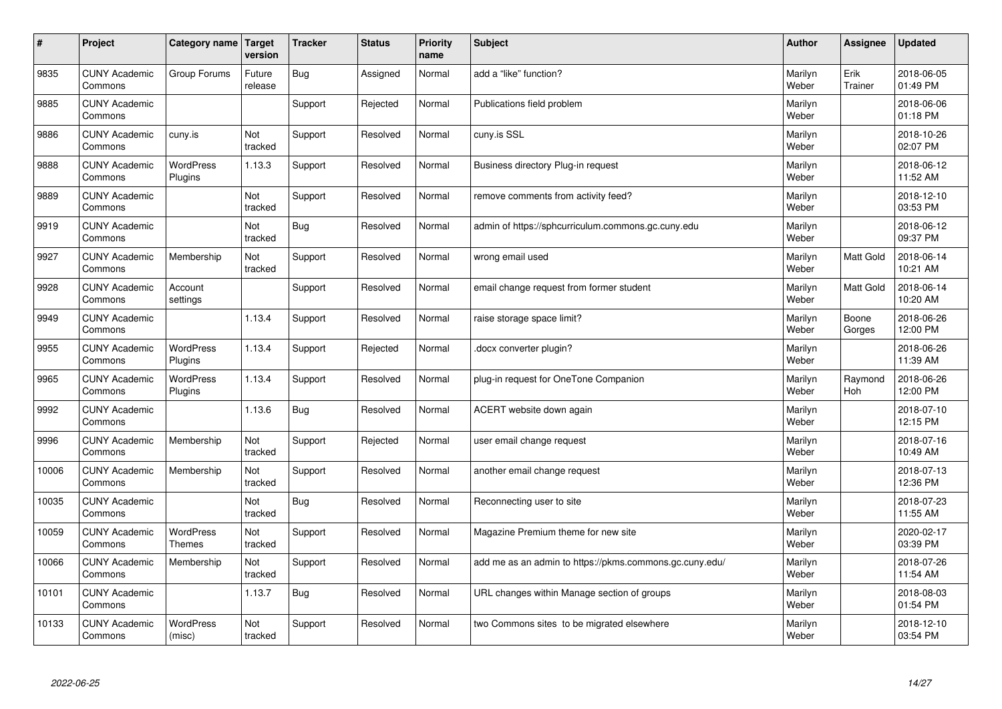| $\vert$ # | Project                         | Category name                     | Target<br>version | <b>Tracker</b> | <b>Status</b> | <b>Priority</b><br>name | <b>Subject</b>                                          | <b>Author</b>    | Assignee         | <b>Updated</b>         |
|-----------|---------------------------------|-----------------------------------|-------------------|----------------|---------------|-------------------------|---------------------------------------------------------|------------------|------------------|------------------------|
| 9835      | <b>CUNY Academic</b><br>Commons | Group Forums                      | Future<br>release | <b>Bug</b>     | Assigned      | Normal                  | add a "like" function?                                  | Marilyn<br>Weber | Erik<br>Trainer  | 2018-06-05<br>01:49 PM |
| 9885      | <b>CUNY Academic</b><br>Commons |                                   |                   | Support        | Rejected      | Normal                  | Publications field problem                              | Marilyn<br>Weber |                  | 2018-06-06<br>01:18 PM |
| 9886      | <b>CUNY Academic</b><br>Commons | cuny.is                           | Not<br>tracked    | Support        | Resolved      | Normal                  | cuny.is SSL                                             | Marilyn<br>Weber |                  | 2018-10-26<br>02:07 PM |
| 9888      | <b>CUNY Academic</b><br>Commons | <b>WordPress</b><br>Plugins       | 1.13.3            | Support        | Resolved      | Normal                  | Business directory Plug-in request                      | Marilyn<br>Weber |                  | 2018-06-12<br>11:52 AM |
| 9889      | <b>CUNY Academic</b><br>Commons |                                   | Not<br>tracked    | Support        | Resolved      | Normal                  | remove comments from activity feed?                     | Marilyn<br>Weber |                  | 2018-12-10<br>03:53 PM |
| 9919      | <b>CUNY Academic</b><br>Commons |                                   | Not<br>tracked    | Bug            | Resolved      | Normal                  | admin of https://sphcurriculum.commons.gc.cuny.edu      | Marilyn<br>Weber |                  | 2018-06-12<br>09:37 PM |
| 9927      | <b>CUNY Academic</b><br>Commons | Membership                        | Not<br>tracked    | Support        | Resolved      | Normal                  | wrong email used                                        | Marilyn<br>Weber | <b>Matt Gold</b> | 2018-06-14<br>10:21 AM |
| 9928      | <b>CUNY Academic</b><br>Commons | Account<br>settings               |                   | Support        | Resolved      | Normal                  | email change request from former student                | Marilyn<br>Weber | <b>Matt Gold</b> | 2018-06-14<br>10:20 AM |
| 9949      | <b>CUNY Academic</b><br>Commons |                                   | 1.13.4            | Support        | Resolved      | Normal                  | raise storage space limit?                              | Marilyn<br>Weber | Boone<br>Gorges  | 2018-06-26<br>12:00 PM |
| 9955      | <b>CUNY Academic</b><br>Commons | WordPress<br>Plugins              | 1.13.4            | Support        | Rejected      | Normal                  | docx converter plugin?                                  | Marilyn<br>Weber |                  | 2018-06-26<br>11:39 AM |
| 9965      | <b>CUNY Academic</b><br>Commons | <b>WordPress</b><br>Plugins       | 1.13.4            | Support        | Resolved      | Normal                  | plug-in request for OneTone Companion                   | Marilyn<br>Weber | Raymond<br>Hoh   | 2018-06-26<br>12:00 PM |
| 9992      | <b>CUNY Academic</b><br>Commons |                                   | 1.13.6            | Bug            | Resolved      | Normal                  | ACERT website down again                                | Marilyn<br>Weber |                  | 2018-07-10<br>12:15 PM |
| 9996      | <b>CUNY Academic</b><br>Commons | Membership                        | Not<br>tracked    | Support        | Rejected      | Normal                  | user email change request                               | Marilyn<br>Weber |                  | 2018-07-16<br>10:49 AM |
| 10006     | <b>CUNY Academic</b><br>Commons | Membership                        | Not<br>tracked    | Support        | Resolved      | Normal                  | another email change request                            | Marilyn<br>Weber |                  | 2018-07-13<br>12:36 PM |
| 10035     | <b>CUNY Academic</b><br>Commons |                                   | Not<br>tracked    | Bug            | Resolved      | Normal                  | Reconnecting user to site                               | Marilyn<br>Weber |                  | 2018-07-23<br>11:55 AM |
| 10059     | <b>CUNY Academic</b><br>Commons | <b>WordPress</b><br><b>Themes</b> | Not<br>tracked    | Support        | Resolved      | Normal                  | Magazine Premium theme for new site                     | Marilyn<br>Weber |                  | 2020-02-17<br>03:39 PM |
| 10066     | <b>CUNY Academic</b><br>Commons | Membership                        | Not<br>tracked    | Support        | Resolved      | Normal                  | add me as an admin to https://pkms.commons.gc.cuny.edu/ | Marilyn<br>Weber |                  | 2018-07-26<br>11:54 AM |
| 10101     | <b>CUNY Academic</b><br>Commons |                                   | 1.13.7            | <b>Bug</b>     | Resolved      | Normal                  | URL changes within Manage section of groups             | Marilyn<br>Weber |                  | 2018-08-03<br>01:54 PM |
| 10133     | <b>CUNY Academic</b><br>Commons | <b>WordPress</b><br>(misc)        | Not<br>tracked    | Support        | Resolved      | Normal                  | two Commons sites to be migrated elsewhere              | Marilyn<br>Weber |                  | 2018-12-10<br>03:54 PM |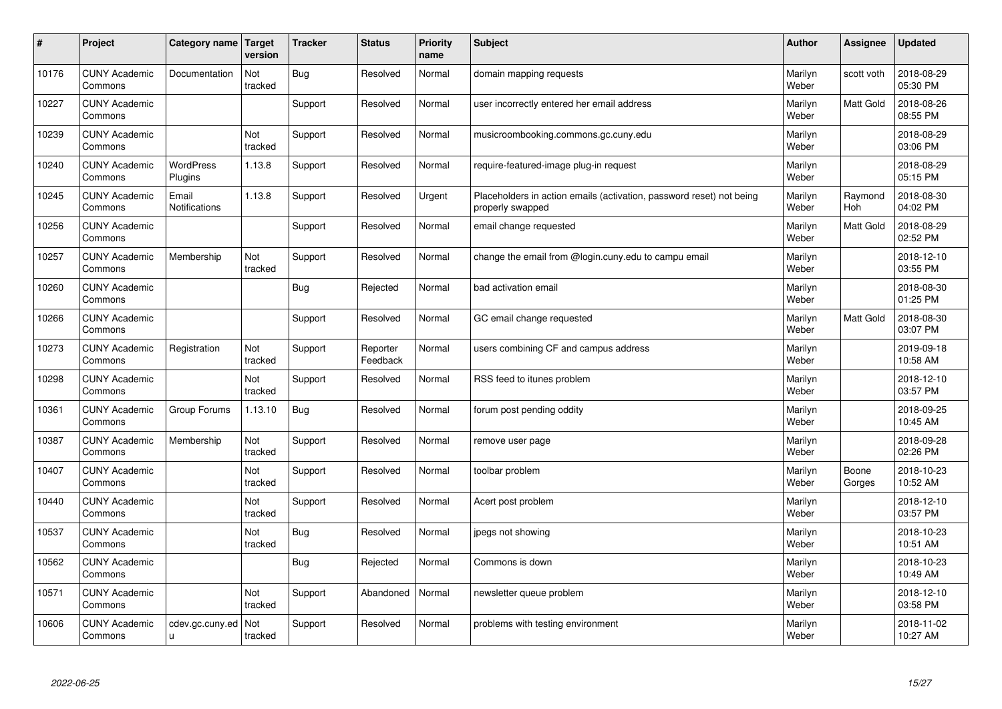| #     | Project                         | Category name                 | Target<br>version | <b>Tracker</b> | <b>Status</b>        | <b>Priority</b><br>name | <b>Subject</b>                                                                           | <b>Author</b>    | Assignee        | <b>Updated</b>         |
|-------|---------------------------------|-------------------------------|-------------------|----------------|----------------------|-------------------------|------------------------------------------------------------------------------------------|------------------|-----------------|------------------------|
| 10176 | <b>CUNY Academic</b><br>Commons | Documentation                 | Not<br>tracked    | <b>Bug</b>     | Resolved             | Normal                  | domain mapping requests                                                                  | Marilyn<br>Weber | scott voth      | 2018-08-29<br>05:30 PM |
| 10227 | <b>CUNY Academic</b><br>Commons |                               |                   | Support        | Resolved             | Normal                  | user incorrectly entered her email address                                               | Marilyn<br>Weber | Matt Gold       | 2018-08-26<br>08:55 PM |
| 10239 | <b>CUNY Academic</b><br>Commons |                               | Not<br>tracked    | Support        | Resolved             | Normal                  | musicroombooking.commons.gc.cuny.edu                                                     | Marilyn<br>Weber |                 | 2018-08-29<br>03:06 PM |
| 10240 | <b>CUNY Academic</b><br>Commons | <b>WordPress</b><br>Plugins   | 1.13.8            | Support        | Resolved             | Normal                  | require-featured-image plug-in request                                                   | Marilyn<br>Weber |                 | 2018-08-29<br>05:15 PM |
| 10245 | <b>CUNY Academic</b><br>Commons | Email<br><b>Notifications</b> | 1.13.8            | Support        | Resolved             | Urgent                  | Placeholders in action emails (activation, password reset) not being<br>properly swapped | Marilyn<br>Weber | Raymond<br>Hoh  | 2018-08-30<br>04:02 PM |
| 10256 | <b>CUNY Academic</b><br>Commons |                               |                   | Support        | Resolved             | Normal                  | email change requested                                                                   | Marilyn<br>Weber | Matt Gold       | 2018-08-29<br>02:52 PM |
| 10257 | <b>CUNY Academic</b><br>Commons | Membership                    | Not<br>tracked    | Support        | Resolved             | Normal                  | change the email from @login.cuny.edu to campu email                                     | Marilyn<br>Weber |                 | 2018-12-10<br>03:55 PM |
| 10260 | <b>CUNY Academic</b><br>Commons |                               |                   | Bug            | Rejected             | Normal                  | bad activation email                                                                     | Marilyn<br>Weber |                 | 2018-08-30<br>01:25 PM |
| 10266 | <b>CUNY Academic</b><br>Commons |                               |                   | Support        | Resolved             | Normal                  | GC email change requested                                                                | Marilyn<br>Weber | Matt Gold       | 2018-08-30<br>03:07 PM |
| 10273 | <b>CUNY Academic</b><br>Commons | Registration                  | Not<br>tracked    | Support        | Reporter<br>Feedback | Normal                  | users combining CF and campus address                                                    | Marilyn<br>Weber |                 | 2019-09-18<br>10:58 AM |
| 10298 | <b>CUNY Academic</b><br>Commons |                               | Not<br>tracked    | Support        | Resolved             | Normal                  | RSS feed to itunes problem                                                               | Marilyn<br>Weber |                 | 2018-12-10<br>03:57 PM |
| 10361 | <b>CUNY Academic</b><br>Commons | Group Forums                  | 1.13.10           | <b>Bug</b>     | Resolved             | Normal                  | forum post pending oddity                                                                | Marilyn<br>Weber |                 | 2018-09-25<br>10:45 AM |
| 10387 | <b>CUNY Academic</b><br>Commons | Membership                    | Not<br>tracked    | Support        | Resolved             | Normal                  | remove user page                                                                         | Marilyn<br>Weber |                 | 2018-09-28<br>02:26 PM |
| 10407 | <b>CUNY Academic</b><br>Commons |                               | Not<br>tracked    | Support        | Resolved             | Normal                  | toolbar problem                                                                          | Marilyn<br>Weber | Boone<br>Gorges | 2018-10-23<br>10:52 AM |
| 10440 | <b>CUNY Academic</b><br>Commons |                               | Not<br>tracked    | Support        | Resolved             | Normal                  | Acert post problem                                                                       | Marilyn<br>Weber |                 | 2018-12-10<br>03:57 PM |
| 10537 | <b>CUNY Academic</b><br>Commons |                               | Not<br>tracked    | <b>Bug</b>     | Resolved             | Normal                  | jpegs not showing                                                                        | Marilyn<br>Weber |                 | 2018-10-23<br>10:51 AM |
| 10562 | <b>CUNY Academic</b><br>Commons |                               |                   | Bug            | Rejected             | Normal                  | Commons is down                                                                          | Marilyn<br>Weber |                 | 2018-10-23<br>10:49 AM |
| 10571 | <b>CUNY Academic</b><br>Commons |                               | Not<br>tracked    | Support        | Abandoned            | Normal                  | newsletter queue problem                                                                 | Marilyn<br>Weber |                 | 2018-12-10<br>03:58 PM |
| 10606 | <b>CUNY Academic</b><br>Commons | cdev.gc.cuny.ed<br>u.         | Not<br>tracked    | Support        | Resolved             | Normal                  | problems with testing environment                                                        | Marilyn<br>Weber |                 | 2018-11-02<br>10:27 AM |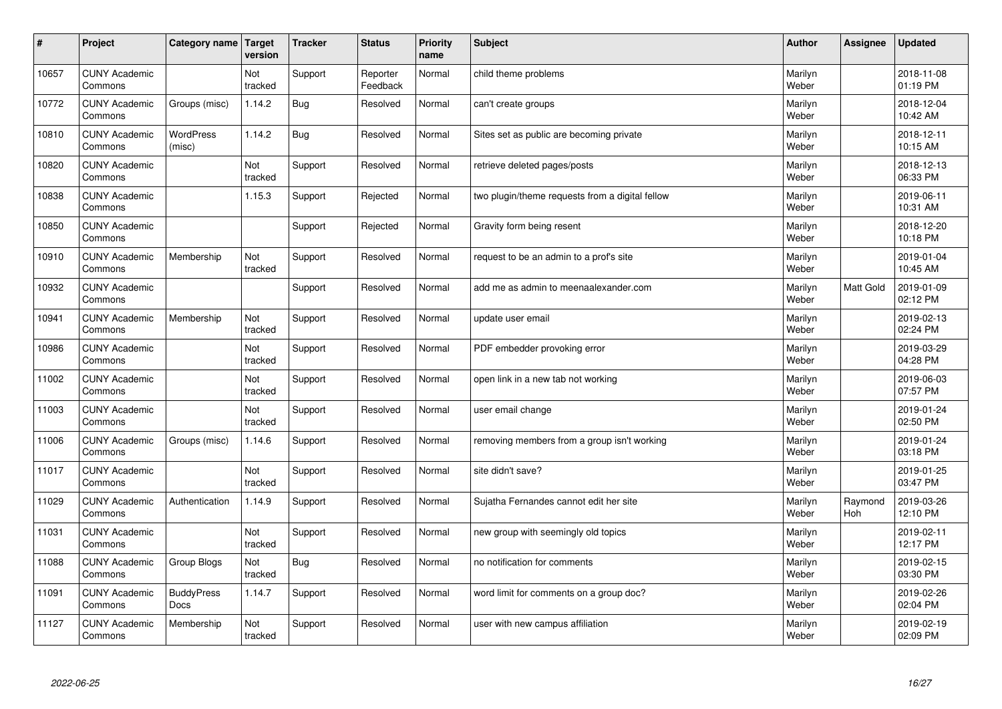| $\sharp$ | Project                         | Category name              | Target<br>version | <b>Tracker</b> | <b>Status</b>        | <b>Priority</b><br>name | <b>Subject</b>                                  | <b>Author</b>    | Assignee       | <b>Updated</b>         |
|----------|---------------------------------|----------------------------|-------------------|----------------|----------------------|-------------------------|-------------------------------------------------|------------------|----------------|------------------------|
| 10657    | <b>CUNY Academic</b><br>Commons |                            | Not<br>tracked    | Support        | Reporter<br>Feedback | Normal                  | child theme problems                            | Marilyn<br>Weber |                | 2018-11-08<br>01:19 PM |
| 10772    | <b>CUNY Academic</b><br>Commons | Groups (misc)              | 1.14.2            | Bug            | Resolved             | Normal                  | can't create groups                             | Marilyn<br>Weber |                | 2018-12-04<br>10:42 AM |
| 10810    | <b>CUNY Academic</b><br>Commons | <b>WordPress</b><br>(misc) | 1.14.2            | Bug            | Resolved             | Normal                  | Sites set as public are becoming private        | Marilyn<br>Weber |                | 2018-12-11<br>10:15 AM |
| 10820    | <b>CUNY Academic</b><br>Commons |                            | Not<br>tracked    | Support        | Resolved             | Normal                  | retrieve deleted pages/posts                    | Marilyn<br>Weber |                | 2018-12-13<br>06:33 PM |
| 10838    | <b>CUNY Academic</b><br>Commons |                            | 1.15.3            | Support        | Rejected             | Normal                  | two plugin/theme requests from a digital fellow | Marilyn<br>Weber |                | 2019-06-11<br>10:31 AM |
| 10850    | <b>CUNY Academic</b><br>Commons |                            |                   | Support        | Rejected             | Normal                  | Gravity form being resent                       | Marilyn<br>Weber |                | 2018-12-20<br>10:18 PM |
| 10910    | <b>CUNY Academic</b><br>Commons | Membership                 | Not<br>tracked    | Support        | Resolved             | Normal                  | request to be an admin to a prof's site         | Marilyn<br>Weber |                | 2019-01-04<br>10:45 AM |
| 10932    | <b>CUNY Academic</b><br>Commons |                            |                   | Support        | Resolved             | Normal                  | add me as admin to meenaalexander.com           | Marilyn<br>Weber | Matt Gold      | 2019-01-09<br>02:12 PM |
| 10941    | <b>CUNY Academic</b><br>Commons | Membership                 | Not<br>tracked    | Support        | Resolved             | Normal                  | update user email                               | Marilyn<br>Weber |                | 2019-02-13<br>02:24 PM |
| 10986    | <b>CUNY Academic</b><br>Commons |                            | Not<br>tracked    | Support        | Resolved             | Normal                  | PDF embedder provoking error                    | Marilyn<br>Weber |                | 2019-03-29<br>04:28 PM |
| 11002    | <b>CUNY Academic</b><br>Commons |                            | Not<br>tracked    | Support        | Resolved             | Normal                  | open link in a new tab not working              | Marilyn<br>Weber |                | 2019-06-03<br>07:57 PM |
| 11003    | <b>CUNY Academic</b><br>Commons |                            | Not<br>tracked    | Support        | Resolved             | Normal                  | user email change                               | Marilyn<br>Weber |                | 2019-01-24<br>02:50 PM |
| 11006    | <b>CUNY Academic</b><br>Commons | Groups (misc)              | 1.14.6            | Support        | Resolved             | Normal                  | removing members from a group isn't working     | Marilyn<br>Weber |                | 2019-01-24<br>03:18 PM |
| 11017    | <b>CUNY Academic</b><br>Commons |                            | Not<br>tracked    | Support        | Resolved             | Normal                  | site didn't save?                               | Marilyn<br>Weber |                | 2019-01-25<br>03:47 PM |
| 11029    | <b>CUNY Academic</b><br>Commons | Authentication             | 1.14.9            | Support        | Resolved             | Normal                  | Sujatha Fernandes cannot edit her site          | Marilyn<br>Weber | Raymond<br>Hoh | 2019-03-26<br>12:10 PM |
| 11031    | <b>CUNY Academic</b><br>Commons |                            | Not<br>tracked    | Support        | Resolved             | Normal                  | new group with seemingly old topics             | Marilyn<br>Weber |                | 2019-02-11<br>12:17 PM |
| 11088    | <b>CUNY Academic</b><br>Commons | Group Blogs                | Not<br>tracked    | Bug            | Resolved             | Normal                  | no notification for comments                    | Marilyn<br>Weber |                | 2019-02-15<br>03:30 PM |
| 11091    | <b>CUNY Academic</b><br>Commons | <b>BuddyPress</b><br>Docs  | 1.14.7            | Support        | Resolved             | Normal                  | word limit for comments on a group doc?         | Marilyn<br>Weber |                | 2019-02-26<br>02:04 PM |
| 11127    | <b>CUNY Academic</b><br>Commons | Membership                 | Not<br>tracked    | Support        | Resolved             | Normal                  | user with new campus affiliation                | Marilyn<br>Weber |                | 2019-02-19<br>02:09 PM |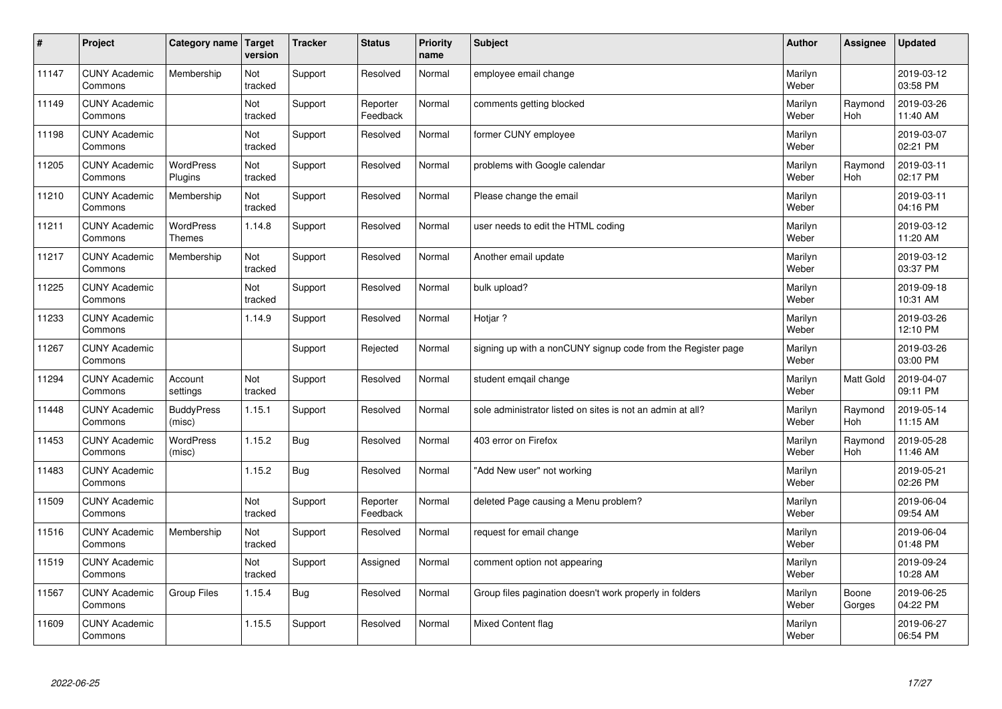| $\vert$ # | Project                         | Category name Target        | version        | <b>Tracker</b> | <b>Status</b>        | <b>Priority</b><br>name | <b>Subject</b>                                               | <b>Author</b>    | <b>Assignee</b>       | <b>Updated</b>         |
|-----------|---------------------------------|-----------------------------|----------------|----------------|----------------------|-------------------------|--------------------------------------------------------------|------------------|-----------------------|------------------------|
| 11147     | <b>CUNY Academic</b><br>Commons | Membership                  | Not<br>tracked | Support        | Resolved             | Normal                  | employee email change                                        | Marilyn<br>Weber |                       | 2019-03-12<br>03:58 PM |
| 11149     | <b>CUNY Academic</b><br>Commons |                             | Not<br>tracked | Support        | Reporter<br>Feedback | Normal                  | comments getting blocked                                     | Marilyn<br>Weber | Raymond<br>Hoh        | 2019-03-26<br>11:40 AM |
| 11198     | <b>CUNY Academic</b><br>Commons |                             | Not<br>tracked | Support        | Resolved             | Normal                  | former CUNY employee                                         | Marilyn<br>Weber |                       | 2019-03-07<br>02:21 PM |
| 11205     | <b>CUNY Academic</b><br>Commons | <b>WordPress</b><br>Plugins | Not<br>tracked | Support        | Resolved             | Normal                  | problems with Google calendar                                | Marilyn<br>Weber | Raymond<br>Hoh        | 2019-03-11<br>02:17 PM |
| 11210     | <b>CUNY Academic</b><br>Commons | Membership                  | Not<br>tracked | Support        | Resolved             | Normal                  | Please change the email                                      | Marilyn<br>Weber |                       | 2019-03-11<br>04:16 PM |
| 11211     | <b>CUNY Academic</b><br>Commons | WordPress<br><b>Themes</b>  | 1.14.8         | Support        | Resolved             | Normal                  | user needs to edit the HTML coding                           | Marilyn<br>Weber |                       | 2019-03-12<br>11:20 AM |
| 11217     | <b>CUNY Academic</b><br>Commons | Membership                  | Not<br>tracked | Support        | Resolved             | Normal                  | Another email update                                         | Marilyn<br>Weber |                       | 2019-03-12<br>03:37 PM |
| 11225     | <b>CUNY Academic</b><br>Commons |                             | Not<br>tracked | Support        | Resolved             | Normal                  | bulk upload?                                                 | Marilyn<br>Weber |                       | 2019-09-18<br>10:31 AM |
| 11233     | <b>CUNY Academic</b><br>Commons |                             | 1.14.9         | Support        | Resolved             | Normal                  | Hotiar?                                                      | Marilyn<br>Weber |                       | 2019-03-26<br>12:10 PM |
| 11267     | <b>CUNY Academic</b><br>Commons |                             |                | Support        | Rejected             | Normal                  | signing up with a nonCUNY signup code from the Register page | Marilyn<br>Weber |                       | 2019-03-26<br>03:00 PM |
| 11294     | <b>CUNY Academic</b><br>Commons | Account<br>settings         | Not<br>tracked | Support        | Resolved             | Normal                  | student emgail change                                        | Marilyn<br>Weber | Matt Gold             | 2019-04-07<br>09:11 PM |
| 11448     | <b>CUNY Academic</b><br>Commons | <b>BuddyPress</b><br>(misc) | 1.15.1         | Support        | Resolved             | Normal                  | sole administrator listed on sites is not an admin at all?   | Marilyn<br>Weber | Raymond<br><b>Hoh</b> | 2019-05-14<br>11:15 AM |
| 11453     | <b>CUNY Academic</b><br>Commons | WordPress<br>(misc)         | 1.15.2         | <b>Bug</b>     | Resolved             | Normal                  | 403 error on Firefox                                         | Marilyn<br>Weber | Raymond<br>Hoh        | 2019-05-28<br>11:46 AM |
| 11483     | <b>CUNY Academic</b><br>Commons |                             | 1.15.2         | <b>Bug</b>     | Resolved             | Normal                  | "Add New user" not working                                   | Marilyn<br>Weber |                       | 2019-05-21<br>02:26 PM |
| 11509     | <b>CUNY Academic</b><br>Commons |                             | Not<br>tracked | Support        | Reporter<br>Feedback | Normal                  | deleted Page causing a Menu problem?                         | Marilyn<br>Weber |                       | 2019-06-04<br>09:54 AM |
| 11516     | <b>CUNY Academic</b><br>Commons | Membership                  | Not<br>tracked | Support        | Resolved             | Normal                  | request for email change                                     | Marilyn<br>Weber |                       | 2019-06-04<br>01:48 PM |
| 11519     | <b>CUNY Academic</b><br>Commons |                             | Not<br>tracked | Support        | Assigned             | Normal                  | comment option not appearing                                 | Marilyn<br>Weber |                       | 2019-09-24<br>10:28 AM |
| 11567     | <b>CUNY Academic</b><br>Commons | <b>Group Files</b>          | 1.15.4         | <b>Bug</b>     | Resolved             | Normal                  | Group files pagination doesn't work properly in folders      | Marilyn<br>Weber | Boone<br>Gorges       | 2019-06-25<br>04:22 PM |
| 11609     | <b>CUNY Academic</b><br>Commons |                             | 1.15.5         | Support        | Resolved             | Normal                  | Mixed Content flag                                           | Marilyn<br>Weber |                       | 2019-06-27<br>06:54 PM |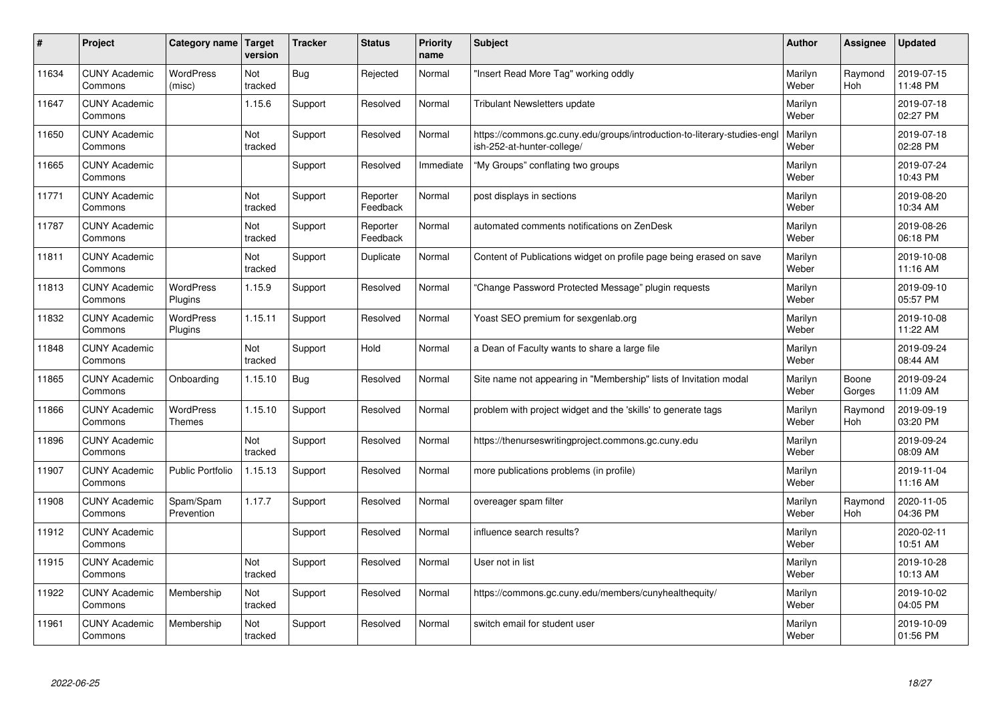| #     | Project                         | Category name               | <b>Target</b><br>version | <b>Tracker</b> | <b>Status</b>        | <b>Priority</b><br>name | <b>Subject</b>                                                                                        | <b>Author</b>    | Assignee              | <b>Updated</b>         |
|-------|---------------------------------|-----------------------------|--------------------------|----------------|----------------------|-------------------------|-------------------------------------------------------------------------------------------------------|------------------|-----------------------|------------------------|
| 11634 | <b>CUNY Academic</b><br>Commons | <b>WordPress</b><br>(misc)  | Not<br>tracked           | <b>Bug</b>     | Rejected             | Normal                  | 'Insert Read More Tag" working oddly                                                                  | Marilyn<br>Weber | Raymond<br>Hoh        | 2019-07-15<br>11:48 PM |
| 11647 | <b>CUNY Academic</b><br>Commons |                             | 1.15.6                   | Support        | Resolved             | Normal                  | <b>Tribulant Newsletters update</b>                                                                   | Marilyn<br>Weber |                       | 2019-07-18<br>02:27 PM |
| 11650 | <b>CUNY Academic</b><br>Commons |                             | Not<br>tracked           | Support        | Resolved             | Normal                  | https://commons.gc.cuny.edu/groups/introduction-to-literary-studies-eng<br>ish-252-at-hunter-college/ | Marilyn<br>Weber |                       | 2019-07-18<br>02:28 PM |
| 11665 | <b>CUNY Academic</b><br>Commons |                             |                          | Support        | Resolved             | Immediate               | 'My Groups" conflating two groups                                                                     | Marilyn<br>Weber |                       | 2019-07-24<br>10:43 PM |
| 11771 | <b>CUNY Academic</b><br>Commons |                             | Not<br>tracked           | Support        | Reporter<br>Feedback | Normal                  | post displays in sections                                                                             | Marilyn<br>Weber |                       | 2019-08-20<br>10:34 AM |
| 11787 | <b>CUNY Academic</b><br>Commons |                             | Not<br>tracked           | Support        | Reporter<br>Feedback | Normal                  | automated comments notifications on ZenDesk                                                           | Marilyn<br>Weber |                       | 2019-08-26<br>06:18 PM |
| 11811 | <b>CUNY Academic</b><br>Commons |                             | Not<br>tracked           | Support        | Duplicate            | Normal                  | Content of Publications widget on profile page being erased on save                                   | Marilyn<br>Weber |                       | 2019-10-08<br>11:16 AM |
| 11813 | <b>CUNY Academic</b><br>Commons | WordPress<br>Plugins        | 1.15.9                   | Support        | Resolved             | Normal                  | 'Change Password Protected Message" plugin requests                                                   | Marilyn<br>Weber |                       | 2019-09-10<br>05:57 PM |
| 11832 | <b>CUNY Academic</b><br>Commons | <b>WordPress</b><br>Plugins | 1.15.11                  | Support        | Resolved             | Normal                  | Yoast SEO premium for sexgenlab.org                                                                   | Marilyn<br>Weber |                       | 2019-10-08<br>11:22 AM |
| 11848 | <b>CUNY Academic</b><br>Commons |                             | Not<br>tracked           | Support        | Hold                 | Normal                  | a Dean of Faculty wants to share a large file                                                         | Marilyn<br>Weber |                       | 2019-09-24<br>08:44 AM |
| 11865 | <b>CUNY Academic</b><br>Commons | Onboarding                  | 1.15.10                  | Bug            | Resolved             | Normal                  | Site name not appearing in "Membership" lists of Invitation modal                                     | Marilyn<br>Weber | Boone<br>Gorges       | 2019-09-24<br>11:09 AM |
| 11866 | <b>CUNY Academic</b><br>Commons | WordPress<br><b>Themes</b>  | 1.15.10                  | Support        | Resolved             | Normal                  | problem with project widget and the 'skills' to generate tags                                         | Marilyn<br>Weber | Raymond<br><b>Hoh</b> | 2019-09-19<br>03:20 PM |
| 11896 | <b>CUNY Academic</b><br>Commons |                             | Not<br>tracked           | Support        | Resolved             | Normal                  | https://thenurseswritingproject.commons.gc.cuny.edu                                                   | Marilyn<br>Weber |                       | 2019-09-24<br>08:09 AM |
| 11907 | <b>CUNY Academic</b><br>Commons | Public Portfolio            | 1.15.13                  | Support        | Resolved             | Normal                  | more publications problems (in profile)                                                               | Marilyn<br>Weber |                       | 2019-11-04<br>11:16 AM |
| 11908 | <b>CUNY Academic</b><br>Commons | Spam/Spam<br>Prevention     | 1.17.7                   | Support        | Resolved             | Normal                  | overeager spam filter                                                                                 | Marilyn<br>Weber | Raymond<br>Hoh        | 2020-11-05<br>04:36 PM |
| 11912 | <b>CUNY Academic</b><br>Commons |                             |                          | Support        | Resolved             | Normal                  | influence search results?                                                                             | Marilyn<br>Weber |                       | 2020-02-11<br>10:51 AM |
| 11915 | <b>CUNY Academic</b><br>Commons |                             | Not<br>tracked           | Support        | Resolved             | Normal                  | User not in list                                                                                      | Marilyn<br>Weber |                       | 2019-10-28<br>10:13 AM |
| 11922 | <b>CUNY Academic</b><br>Commons | Membership                  | Not<br>tracked           | Support        | Resolved             | Normal                  | https://commons.gc.cuny.edu/members/cunyhealthequity/                                                 | Marilyn<br>Weber |                       | 2019-10-02<br>04:05 PM |
| 11961 | <b>CUNY Academic</b><br>Commons | Membership                  | Not<br>tracked           | Support        | Resolved             | Normal                  | switch email for student user                                                                         | Marilyn<br>Weber |                       | 2019-10-09<br>01:56 PM |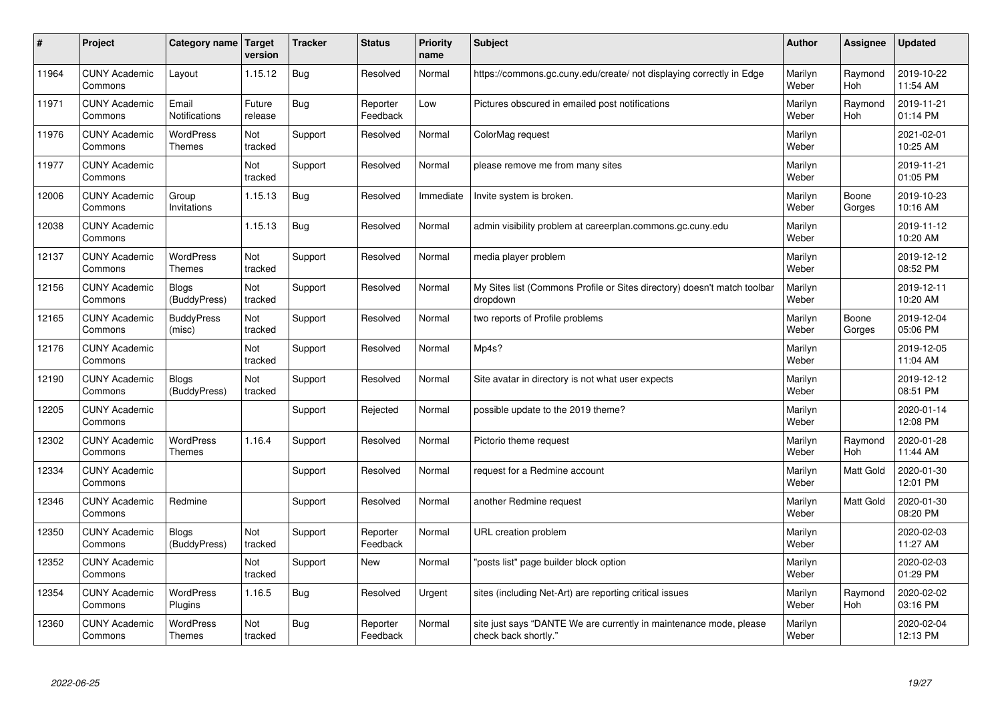| #     | Project                         | Category name   Target            | version           | <b>Tracker</b> | <b>Status</b>        | <b>Priority</b><br>name | <b>Subject</b>                                                                             | <b>Author</b>    | <b>Assignee</b>  | <b>Updated</b>         |
|-------|---------------------------------|-----------------------------------|-------------------|----------------|----------------------|-------------------------|--------------------------------------------------------------------------------------------|------------------|------------------|------------------------|
| 11964 | <b>CUNY Academic</b><br>Commons | Layout                            | 1.15.12           | <b>Bug</b>     | Resolved             | Normal                  | https://commons.gc.cuny.edu/create/ not displaying correctly in Edge                       | Marilyn<br>Weber | Raymond<br>Hoh   | 2019-10-22<br>11:54 AM |
| 11971 | <b>CUNY Academic</b><br>Commons | Email<br>Notifications            | Future<br>release | <b>Bug</b>     | Reporter<br>Feedback | Low                     | Pictures obscured in emailed post notifications                                            | Marilyn<br>Weber | Raymond<br>Hoh   | 2019-11-21<br>01:14 PM |
| 11976 | <b>CUNY Academic</b><br>Commons | WordPress<br><b>Themes</b>        | Not<br>tracked    | Support        | Resolved             | Normal                  | ColorMag request                                                                           | Marilyn<br>Weber |                  | 2021-02-01<br>10:25 AM |
| 11977 | <b>CUNY Academic</b><br>Commons |                                   | Not<br>tracked    | Support        | Resolved             | Normal                  | please remove me from many sites                                                           | Marilyn<br>Weber |                  | 2019-11-21<br>01:05 PM |
| 12006 | <b>CUNY Academic</b><br>Commons | Group<br>Invitations              | 1.15.13           | Bug            | Resolved             | Immediate               | Invite system is broken.                                                                   | Marilyn<br>Weber | Boone<br>Gorges  | 2019-10-23<br>10:16 AM |
| 12038 | <b>CUNY Academic</b><br>Commons |                                   | 1.15.13           | Bug            | Resolved             | Normal                  | admin visibility problem at careerplan.commons.gc.cuny.edu                                 | Marilyn<br>Weber |                  | 2019-11-12<br>10:20 AM |
| 12137 | <b>CUNY Academic</b><br>Commons | <b>WordPress</b><br><b>Themes</b> | Not<br>tracked    | Support        | Resolved             | Normal                  | media player problem                                                                       | Marilyn<br>Weber |                  | 2019-12-12<br>08:52 PM |
| 12156 | <b>CUNY Academic</b><br>Commons | <b>Blogs</b><br>(BuddyPress)      | Not<br>tracked    | Support        | Resolved             | Normal                  | My Sites list (Commons Profile or Sites directory) doesn't match toolbar<br>dropdown       | Marilyn<br>Weber |                  | 2019-12-11<br>10:20 AM |
| 12165 | <b>CUNY Academic</b><br>Commons | <b>BuddyPress</b><br>(misc)       | Not<br>tracked    | Support        | Resolved             | Normal                  | two reports of Profile problems                                                            | Marilyn<br>Weber | Boone<br>Gorges  | 2019-12-04<br>05:06 PM |
| 12176 | <b>CUNY Academic</b><br>Commons |                                   | Not<br>tracked    | Support        | Resolved             | Normal                  | Mp4s?                                                                                      | Marilyn<br>Weber |                  | 2019-12-05<br>11:04 AM |
| 12190 | <b>CUNY Academic</b><br>Commons | <b>Blogs</b><br>(BuddyPress)      | Not<br>tracked    | Support        | Resolved             | Normal                  | Site avatar in directory is not what user expects                                          | Marilyn<br>Weber |                  | 2019-12-12<br>08:51 PM |
| 12205 | <b>CUNY Academic</b><br>Commons |                                   |                   | Support        | Rejected             | Normal                  | possible update to the 2019 theme?                                                         | Marilyn<br>Weber |                  | 2020-01-14<br>12:08 PM |
| 12302 | <b>CUNY Academic</b><br>Commons | <b>WordPress</b><br><b>Themes</b> | 1.16.4            | Support        | Resolved             | Normal                  | Pictorio theme request                                                                     | Marilyn<br>Weber | Raymond<br>Hoh   | 2020-01-28<br>11:44 AM |
| 12334 | <b>CUNY Academic</b><br>Commons |                                   |                   | Support        | Resolved             | Normal                  | request for a Redmine account                                                              | Marilyn<br>Weber | <b>Matt Gold</b> | 2020-01-30<br>12:01 PM |
| 12346 | <b>CUNY Academic</b><br>Commons | Redmine                           |                   | Support        | Resolved             | Normal                  | another Redmine request                                                                    | Marilyn<br>Weber | Matt Gold        | 2020-01-30<br>08:20 PM |
| 12350 | <b>CUNY Academic</b><br>Commons | <b>Blogs</b><br>(BuddyPress)      | Not<br>tracked    | Support        | Reporter<br>Feedback | Normal                  | URL creation problem                                                                       | Marilyn<br>Weber |                  | 2020-02-03<br>11:27 AM |
| 12352 | <b>CUNY Academic</b><br>Commons |                                   | Not<br>tracked    | Support        | <b>New</b>           | Normal                  | 'posts list" page builder block option                                                     | Marilyn<br>Weber |                  | 2020-02-03<br>01:29 PM |
| 12354 | <b>CUNY Academic</b><br>Commons | WordPress<br>Plugins              | 1.16.5            | Bug            | Resolved             | Urgent                  | sites (including Net-Art) are reporting critical issues                                    | Marilyn<br>Weber | Raymond<br>Hoh   | 2020-02-02<br>03:16 PM |
| 12360 | <b>CUNY Academic</b><br>Commons | WordPress<br><b>Themes</b>        | Not<br>tracked    | <b>Bug</b>     | Reporter<br>Feedback | Normal                  | site just says "DANTE We are currently in maintenance mode, please<br>check back shortly." | Marilyn<br>Weber |                  | 2020-02-04<br>12:13 PM |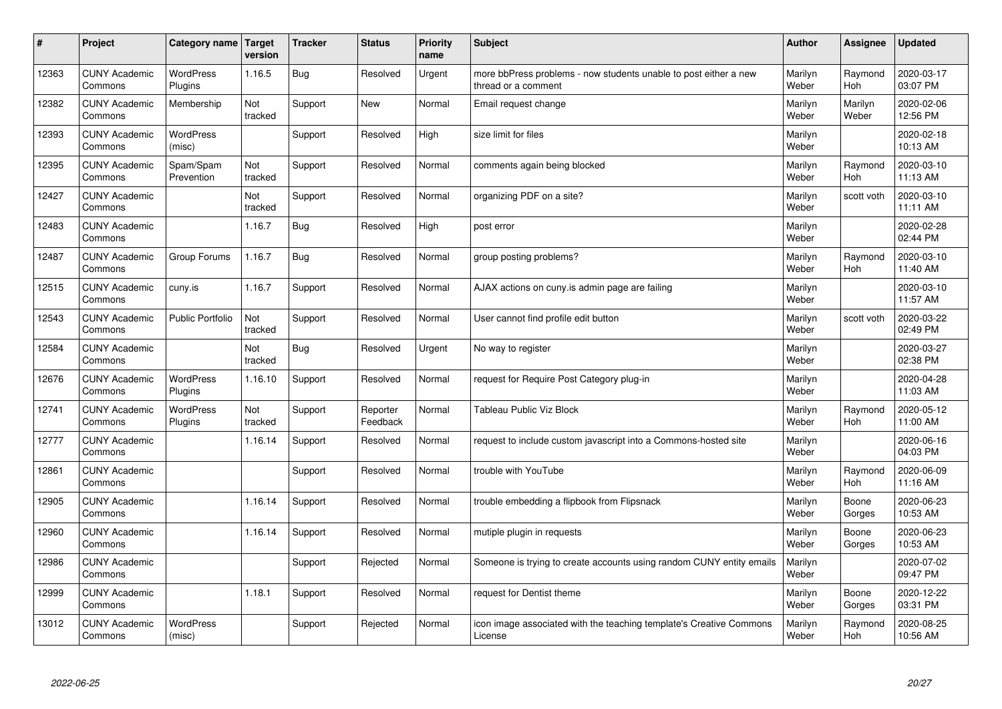| #     | Project                         | Category name   Target      | version        | <b>Tracker</b> | <b>Status</b>        | <b>Priority</b><br>name | <b>Subject</b>                                                                          | <b>Author</b>    | <b>Assignee</b>       | <b>Updated</b>         |
|-------|---------------------------------|-----------------------------|----------------|----------------|----------------------|-------------------------|-----------------------------------------------------------------------------------------|------------------|-----------------------|------------------------|
| 12363 | <b>CUNY Academic</b><br>Commons | <b>WordPress</b><br>Plugins | 1.16.5         | Bug            | Resolved             | Urgent                  | more bbPress problems - now students unable to post either a new<br>thread or a comment | Marilyn<br>Weber | Raymond<br>Hoh        | 2020-03-17<br>03:07 PM |
| 12382 | <b>CUNY Academic</b><br>Commons | Membership                  | Not<br>tracked | Support        | New                  | Normal                  | Email request change                                                                    | Marilyn<br>Weber | Marilyn<br>Weber      | 2020-02-06<br>12:56 PM |
| 12393 | <b>CUNY Academic</b><br>Commons | WordPress<br>(misc)         |                | Support        | Resolved             | High                    | size limit for files                                                                    | Marilyn<br>Weber |                       | 2020-02-18<br>10:13 AM |
| 12395 | <b>CUNY Academic</b><br>Commons | Spam/Spam<br>Prevention     | Not<br>tracked | Support        | Resolved             | Normal                  | comments again being blocked                                                            | Marilyn<br>Weber | Raymond<br>Hoh        | 2020-03-10<br>11:13 AM |
| 12427 | <b>CUNY Academic</b><br>Commons |                             | Not<br>tracked | Support        | Resolved             | Normal                  | organizing PDF on a site?                                                               | Marilyn<br>Weber | scott voth            | 2020-03-10<br>11:11 AM |
| 12483 | <b>CUNY Academic</b><br>Commons |                             | 1.16.7         | Bug            | Resolved             | High                    | post error                                                                              | Marilyn<br>Weber |                       | 2020-02-28<br>02:44 PM |
| 12487 | <b>CUNY Academic</b><br>Commons | Group Forums                | 1.16.7         | <b>Bug</b>     | Resolved             | Normal                  | group posting problems?                                                                 | Marilyn<br>Weber | Raymond<br><b>Hoh</b> | 2020-03-10<br>11:40 AM |
| 12515 | <b>CUNY Academic</b><br>Commons | cuny.is                     | 1.16.7         | Support        | Resolved             | Normal                  | AJAX actions on cuny.is admin page are failing                                          | Marilyn<br>Weber |                       | 2020-03-10<br>11:57 AM |
| 12543 | <b>CUNY Academic</b><br>Commons | <b>Public Portfolio</b>     | Not<br>tracked | Support        | Resolved             | Normal                  | User cannot find profile edit button                                                    | Marilyn<br>Weber | scott voth            | 2020-03-22<br>02:49 PM |
| 12584 | <b>CUNY Academic</b><br>Commons |                             | Not<br>tracked | Bug            | Resolved             | Urgent                  | No way to register                                                                      | Marilyn<br>Weber |                       | 2020-03-27<br>02:38 PM |
| 12676 | <b>CUNY Academic</b><br>Commons | <b>WordPress</b><br>Plugins | 1.16.10        | Support        | Resolved             | Normal                  | request for Require Post Category plug-in                                               | Marilyn<br>Weber |                       | 2020-04-28<br>11:03 AM |
| 12741 | <b>CUNY Academic</b><br>Commons | <b>WordPress</b><br>Plugins | Not<br>tracked | Support        | Reporter<br>Feedback | Normal                  | Tableau Public Viz Block                                                                | Marilyn<br>Weber | Raymond<br>Hoh        | 2020-05-12<br>11:00 AM |
| 12777 | <b>CUNY Academic</b><br>Commons |                             | 1.16.14        | Support        | Resolved             | Normal                  | request to include custom javascript into a Commons-hosted site                         | Marilyn<br>Weber |                       | 2020-06-16<br>04:03 PM |
| 12861 | <b>CUNY Academic</b><br>Commons |                             |                | Support        | Resolved             | Normal                  | trouble with YouTube                                                                    | Marilyn<br>Weber | Raymond<br>Hoh        | 2020-06-09<br>11:16 AM |
| 12905 | <b>CUNY Academic</b><br>Commons |                             | 1.16.14        | Support        | Resolved             | Normal                  | trouble embedding a flipbook from Flipsnack                                             | Marilyn<br>Weber | Boone<br>Gorges       | 2020-06-23<br>10:53 AM |
| 12960 | <b>CUNY Academic</b><br>Commons |                             | 1.16.14        | Support        | Resolved             | Normal                  | mutiple plugin in requests                                                              | Marilyn<br>Weber | Boone<br>Gorges       | 2020-06-23<br>10:53 AM |
| 12986 | <b>CUNY Academic</b><br>Commons |                             |                | Support        | Rejected             | Normal                  | Someone is trying to create accounts using random CUNY entity emails                    | Marilyn<br>Weber |                       | 2020-07-02<br>09:47 PM |
| 12999 | <b>CUNY Academic</b><br>Commons |                             | 1.18.1         | Support        | Resolved             | Normal                  | request for Dentist theme                                                               | Marilyn<br>Weber | Boone<br>Gorges       | 2020-12-22<br>03:31 PM |
| 13012 | <b>CUNY Academic</b><br>Commons | <b>WordPress</b><br>(misc)  |                | Support        | Rejected             | Normal                  | icon image associated with the teaching template's Creative Commons<br>License          | Marilyn<br>Weber | Raymond<br>Hoh        | 2020-08-25<br>10:56 AM |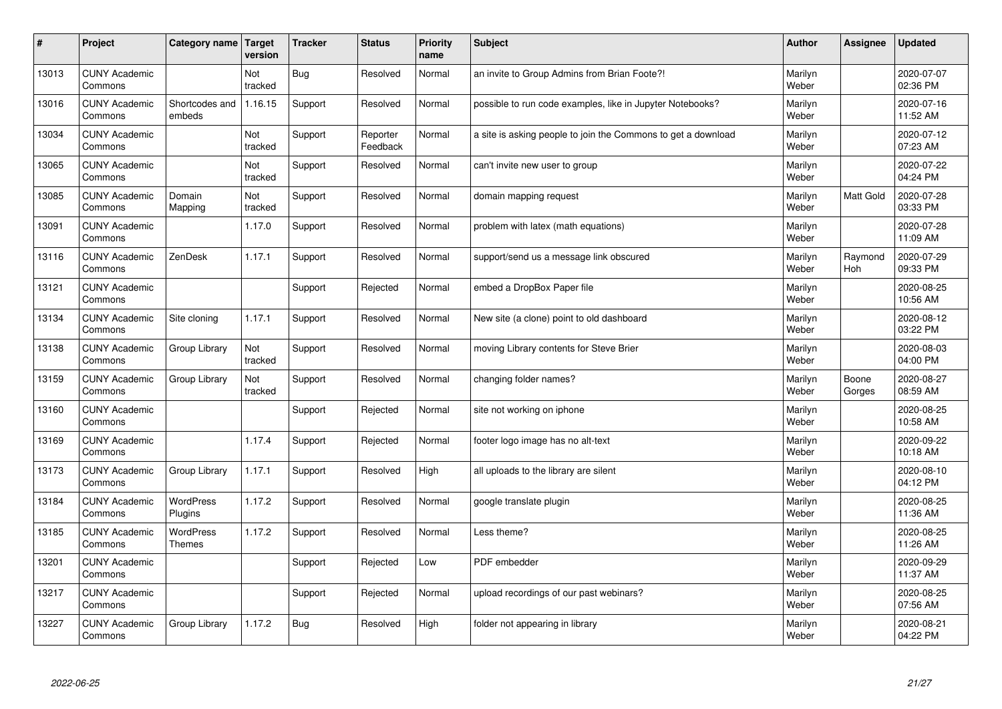| $\pmb{\#}$ | Project                         | Category name                     | Target<br>version | <b>Tracker</b> | <b>Status</b>        | <b>Priority</b><br>name | <b>Subject</b>                                                | <b>Author</b>    | Assignee        | <b>Updated</b>         |
|------------|---------------------------------|-----------------------------------|-------------------|----------------|----------------------|-------------------------|---------------------------------------------------------------|------------------|-----------------|------------------------|
| 13013      | <b>CUNY Academic</b><br>Commons |                                   | Not<br>tracked    | <b>Bug</b>     | Resolved             | Normal                  | an invite to Group Admins from Brian Foote?!                  | Marilyn<br>Weber |                 | 2020-07-07<br>02:36 PM |
| 13016      | <b>CUNY Academic</b><br>Commons | Shortcodes and<br>embeds          | 1.16.15           | Support        | Resolved             | Normal                  | possible to run code examples, like in Jupyter Notebooks?     | Marilyn<br>Weber |                 | 2020-07-16<br>11:52 AM |
| 13034      | <b>CUNY Academic</b><br>Commons |                                   | Not<br>tracked    | Support        | Reporter<br>Feedback | Normal                  | a site is asking people to join the Commons to get a download | Marilyn<br>Weber |                 | 2020-07-12<br>07:23 AM |
| 13065      | <b>CUNY Academic</b><br>Commons |                                   | Not<br>tracked    | Support        | Resolved             | Normal                  | can't invite new user to group                                | Marilyn<br>Weber |                 | 2020-07-22<br>04:24 PM |
| 13085      | <b>CUNY Academic</b><br>Commons | Domain<br>Mapping                 | Not<br>tracked    | Support        | Resolved             | Normal                  | domain mapping request                                        | Marilyn<br>Weber | Matt Gold       | 2020-07-28<br>03:33 PM |
| 13091      | <b>CUNY Academic</b><br>Commons |                                   | 1.17.0            | Support        | Resolved             | Normal                  | problem with latex (math equations)                           | Marilyn<br>Weber |                 | 2020-07-28<br>11:09 AM |
| 13116      | <b>CUNY Academic</b><br>Commons | ZenDesk                           | 1.17.1            | Support        | Resolved             | Normal                  | support/send us a message link obscured                       | Marilyn<br>Weber | Raymond<br>Hoh  | 2020-07-29<br>09:33 PM |
| 13121      | <b>CUNY Academic</b><br>Commons |                                   |                   | Support        | Rejected             | Normal                  | embed a DropBox Paper file                                    | Marilyn<br>Weber |                 | 2020-08-25<br>10:56 AM |
| 13134      | <b>CUNY Academic</b><br>Commons | Site cloning                      | 1.17.1            | Support        | Resolved             | Normal                  | New site (a clone) point to old dashboard                     | Marilyn<br>Weber |                 | 2020-08-12<br>03:22 PM |
| 13138      | <b>CUNY Academic</b><br>Commons | Group Library                     | Not<br>tracked    | Support        | Resolved             | Normal                  | moving Library contents for Steve Brier                       | Marilyn<br>Weber |                 | 2020-08-03<br>04:00 PM |
| 13159      | <b>CUNY Academic</b><br>Commons | Group Library                     | Not<br>tracked    | Support        | Resolved             | Normal                  | changing folder names?                                        | Marilyn<br>Weber | Boone<br>Gorges | 2020-08-27<br>08:59 AM |
| 13160      | <b>CUNY Academic</b><br>Commons |                                   |                   | Support        | Rejected             | Normal                  | site not working on iphone                                    | Marilyn<br>Weber |                 | 2020-08-25<br>10:58 AM |
| 13169      | <b>CUNY Academic</b><br>Commons |                                   | 1.17.4            | Support        | Rejected             | Normal                  | footer logo image has no alt-text                             | Marilyn<br>Weber |                 | 2020-09-22<br>10:18 AM |
| 13173      | <b>CUNY Academic</b><br>Commons | Group Library                     | 1.17.1            | Support        | Resolved             | High                    | all uploads to the library are silent                         | Marilyn<br>Weber |                 | 2020-08-10<br>04:12 PM |
| 13184      | <b>CUNY Academic</b><br>Commons | <b>WordPress</b><br>Plugins       | 1.17.2            | Support        | Resolved             | Normal                  | google translate plugin                                       | Marilyn<br>Weber |                 | 2020-08-25<br>11:36 AM |
| 13185      | <b>CUNY Academic</b><br>Commons | <b>WordPress</b><br><b>Themes</b> | 1.17.2            | Support        | Resolved             | Normal                  | Less theme?                                                   | Marilyn<br>Weber |                 | 2020-08-25<br>11:26 AM |
| 13201      | <b>CUNY Academic</b><br>Commons |                                   |                   | Support        | Rejected             | Low                     | <b>PDF</b> embedder                                           | Marilyn<br>Weber |                 | 2020-09-29<br>11:37 AM |
| 13217      | <b>CUNY Academic</b><br>Commons |                                   |                   | Support        | Rejected             | Normal                  | upload recordings of our past webinars?                       | Marilyn<br>Weber |                 | 2020-08-25<br>07:56 AM |
| 13227      | <b>CUNY Academic</b><br>Commons | Group Library                     | 1.17.2            | Bug            | Resolved             | High                    | folder not appearing in library                               | Marilyn<br>Weber |                 | 2020-08-21<br>04:22 PM |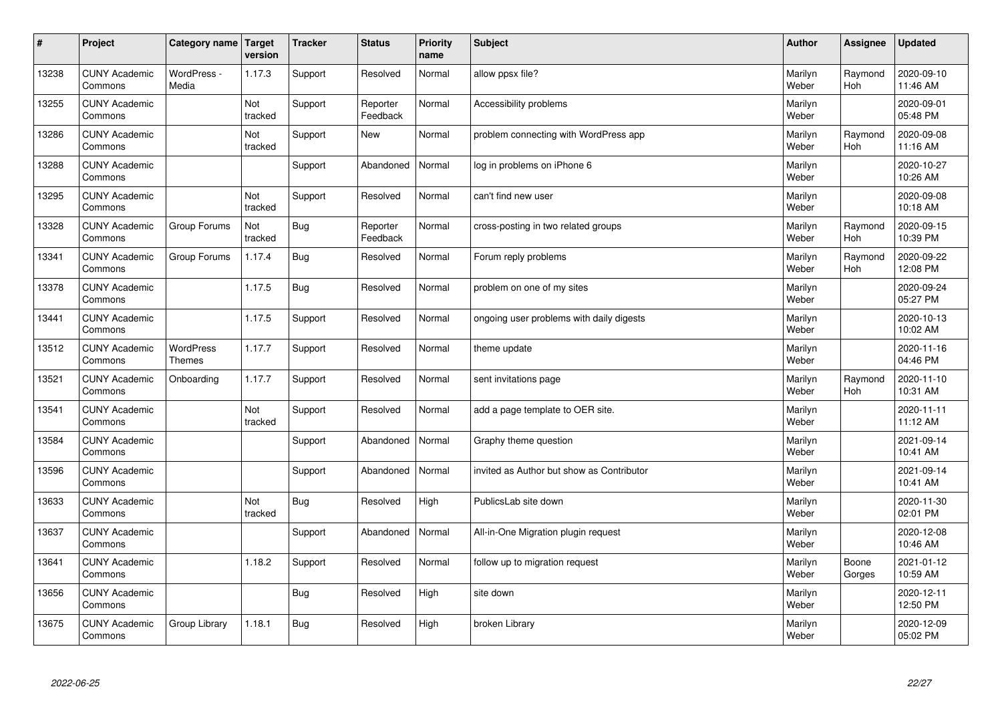| $\sharp$ | Project                         | Category name   Target     | version        | <b>Tracker</b> | <b>Status</b>        | <b>Priority</b><br>name | <b>Subject</b>                            | <b>Author</b>    | Assignee              | <b>Updated</b>         |
|----------|---------------------------------|----------------------------|----------------|----------------|----------------------|-------------------------|-------------------------------------------|------------------|-----------------------|------------------------|
| 13238    | <b>CUNY Academic</b><br>Commons | WordPress -<br>Media       | 1.17.3         | Support        | Resolved             | Normal                  | allow ppsx file?                          | Marilyn<br>Weber | Raymond<br><b>Hoh</b> | 2020-09-10<br>11:46 AM |
| 13255    | <b>CUNY Academic</b><br>Commons |                            | Not<br>tracked | Support        | Reporter<br>Feedback | Normal                  | Accessibility problems                    | Marilyn<br>Weber |                       | 2020-09-01<br>05:48 PM |
| 13286    | <b>CUNY Academic</b><br>Commons |                            | Not<br>tracked | Support        | <b>New</b>           | Normal                  | problem connecting with WordPress app     | Marilyn<br>Weber | Raymond<br><b>Hoh</b> | 2020-09-08<br>11:16 AM |
| 13288    | <b>CUNY Academic</b><br>Commons |                            |                | Support        | Abandoned            | Normal                  | log in problems on iPhone 6               | Marilyn<br>Weber |                       | 2020-10-27<br>10:26 AM |
| 13295    | <b>CUNY Academic</b><br>Commons |                            | Not<br>tracked | Support        | Resolved             | Normal                  | can't find new user                       | Marilyn<br>Weber |                       | 2020-09-08<br>10:18 AM |
| 13328    | <b>CUNY Academic</b><br>Commons | Group Forums               | Not<br>tracked | Bug            | Reporter<br>Feedback | Normal                  | cross-posting in two related groups       | Marilyn<br>Weber | Raymond<br>Hoh        | 2020-09-15<br>10:39 PM |
| 13341    | <b>CUNY Academic</b><br>Commons | Group Forums               | 1.17.4         | Bug            | Resolved             | Normal                  | Forum reply problems                      | Marilyn<br>Weber | Raymond<br>Hoh        | 2020-09-22<br>12:08 PM |
| 13378    | <b>CUNY Academic</b><br>Commons |                            | 1.17.5         | Bug            | Resolved             | Normal                  | problem on one of my sites                | Marilyn<br>Weber |                       | 2020-09-24<br>05:27 PM |
| 13441    | <b>CUNY Academic</b><br>Commons |                            | 1.17.5         | Support        | Resolved             | Normal                  | ongoing user problems with daily digests  | Marilyn<br>Weber |                       | 2020-10-13<br>10:02 AM |
| 13512    | <b>CUNY Academic</b><br>Commons | WordPress<br><b>Themes</b> | 1.17.7         | Support        | Resolved             | Normal                  | theme update                              | Marilyn<br>Weber |                       | 2020-11-16<br>04:46 PM |
| 13521    | <b>CUNY Academic</b><br>Commons | Onboarding                 | 1.17.7         | Support        | Resolved             | Normal                  | sent invitations page                     | Marilyn<br>Weber | Raymond<br>Hoh        | 2020-11-10<br>10:31 AM |
| 13541    | <b>CUNY Academic</b><br>Commons |                            | Not<br>tracked | Support        | Resolved             | Normal                  | add a page template to OER site.          | Marilyn<br>Weber |                       | 2020-11-11<br>11:12 AM |
| 13584    | <b>CUNY Academic</b><br>Commons |                            |                | Support        | Abandoned            | Normal                  | Graphy theme question                     | Marilyn<br>Weber |                       | 2021-09-14<br>10:41 AM |
| 13596    | <b>CUNY Academic</b><br>Commons |                            |                | Support        | Abandoned            | Normal                  | invited as Author but show as Contributor | Marilyn<br>Weber |                       | 2021-09-14<br>10:41 AM |
| 13633    | <b>CUNY Academic</b><br>Commons |                            | Not<br>tracked | Bug            | Resolved             | High                    | PublicsLab site down                      | Marilyn<br>Weber |                       | 2020-11-30<br>02:01 PM |
| 13637    | <b>CUNY Academic</b><br>Commons |                            |                | Support        | Abandoned            | Normal                  | All-in-One Migration plugin request       | Marilyn<br>Weber |                       | 2020-12-08<br>10:46 AM |
| 13641    | <b>CUNY Academic</b><br>Commons |                            | 1.18.2         | Support        | Resolved             | Normal                  | follow up to migration request            | Marilyn<br>Weber | Boone<br>Gorges       | 2021-01-12<br>10:59 AM |
| 13656    | <b>CUNY Academic</b><br>Commons |                            |                | Bug            | Resolved             | High                    | site down                                 | Marilyn<br>Weber |                       | 2020-12-11<br>12:50 PM |
| 13675    | <b>CUNY Academic</b><br>Commons | Group Library              | 1.18.1         | Bug            | Resolved             | High                    | broken Library                            | Marilyn<br>Weber |                       | 2020-12-09<br>05:02 PM |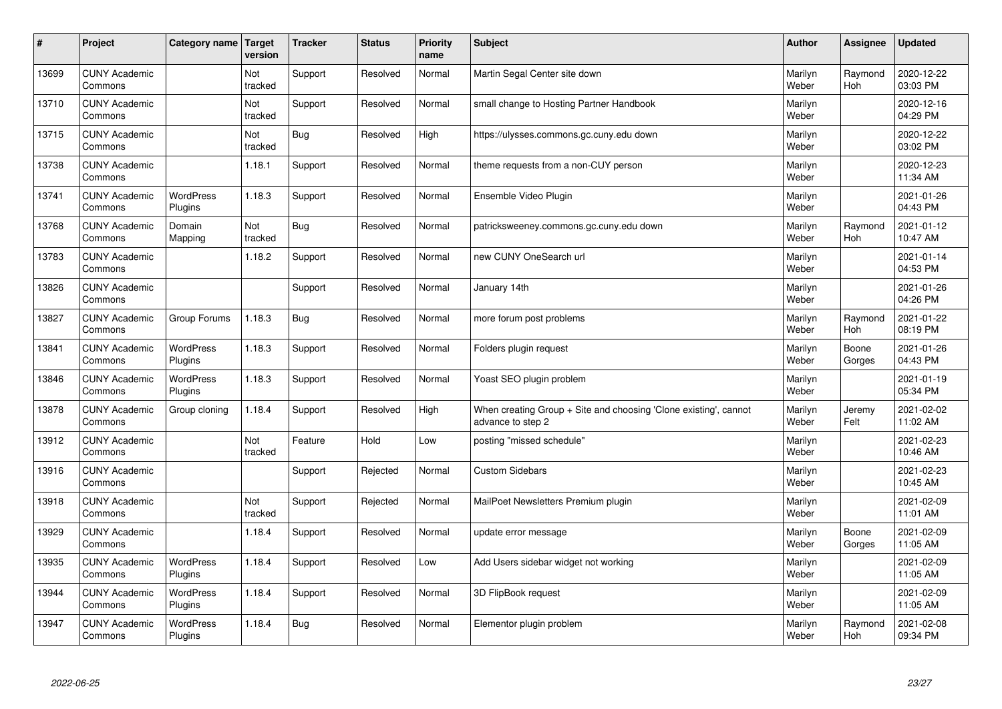| $\pmb{\#}$ | Project                         | Category name               | Target<br>version | <b>Tracker</b> | <b>Status</b> | <b>Priority</b><br>name | <b>Subject</b>                                                                        | <b>Author</b>    | Assignee        | <b>Updated</b>         |
|------------|---------------------------------|-----------------------------|-------------------|----------------|---------------|-------------------------|---------------------------------------------------------------------------------------|------------------|-----------------|------------------------|
| 13699      | <b>CUNY Academic</b><br>Commons |                             | Not<br>tracked    | Support        | Resolved      | Normal                  | Martin Segal Center site down                                                         | Marilyn<br>Weber | Raymond<br>Hoh  | 2020-12-22<br>03:03 PM |
| 13710      | <b>CUNY Academic</b><br>Commons |                             | Not<br>tracked    | Support        | Resolved      | Normal                  | small change to Hosting Partner Handbook                                              | Marilyn<br>Weber |                 | 2020-12-16<br>04:29 PM |
| 13715      | <b>CUNY Academic</b><br>Commons |                             | Not<br>tracked    | <b>Bug</b>     | Resolved      | High                    | https://ulysses.commons.gc.cuny.edu down                                              | Marilyn<br>Weber |                 | 2020-12-22<br>03:02 PM |
| 13738      | <b>CUNY Academic</b><br>Commons |                             | 1.18.1            | Support        | Resolved      | Normal                  | theme requests from a non-CUY person                                                  | Marilyn<br>Weber |                 | 2020-12-23<br>11:34 AM |
| 13741      | <b>CUNY Academic</b><br>Commons | <b>WordPress</b><br>Plugins | 1.18.3            | Support        | Resolved      | Normal                  | Ensemble Video Plugin                                                                 | Marilyn<br>Weber |                 | 2021-01-26<br>04:43 PM |
| 13768      | <b>CUNY Academic</b><br>Commons | Domain<br>Mapping           | Not<br>tracked    | <b>Bug</b>     | Resolved      | Normal                  | patricksweeney.commons.gc.cuny.edu down                                               | Marilyn<br>Weber | Raymond<br>Hoh  | 2021-01-12<br>10:47 AM |
| 13783      | <b>CUNY Academic</b><br>Commons |                             | 1.18.2            | Support        | Resolved      | Normal                  | new CUNY OneSearch url                                                                | Marilyn<br>Weber |                 | 2021-01-14<br>04:53 PM |
| 13826      | <b>CUNY Academic</b><br>Commons |                             |                   | Support        | Resolved      | Normal                  | January 14th                                                                          | Marilyn<br>Weber |                 | 2021-01-26<br>04:26 PM |
| 13827      | <b>CUNY Academic</b><br>Commons | Group Forums                | 1.18.3            | Bug            | Resolved      | Normal                  | more forum post problems                                                              | Marilyn<br>Weber | Raymond<br>Hoh  | 2021-01-22<br>08:19 PM |
| 13841      | <b>CUNY Academic</b><br>Commons | WordPress<br>Plugins        | 1.18.3            | Support        | Resolved      | Normal                  | Folders plugin request                                                                | Marilyn<br>Weber | Boone<br>Gorges | 2021-01-26<br>04:43 PM |
| 13846      | <b>CUNY Academic</b><br>Commons | WordPress<br>Plugins        | 1.18.3            | Support        | Resolved      | Normal                  | Yoast SEO plugin problem                                                              | Marilyn<br>Weber |                 | 2021-01-19<br>05:34 PM |
| 13878      | <b>CUNY Academic</b><br>Commons | Group cloning               | 1.18.4            | Support        | Resolved      | High                    | When creating Group + Site and choosing 'Clone existing', cannot<br>advance to step 2 | Marilyn<br>Weber | Jeremy<br>Felt  | 2021-02-02<br>11:02 AM |
| 13912      | <b>CUNY Academic</b><br>Commons |                             | Not<br>tracked    | Feature        | Hold          | Low                     | posting "missed schedule"                                                             | Marilyn<br>Weber |                 | 2021-02-23<br>10:46 AM |
| 13916      | <b>CUNY Academic</b><br>Commons |                             |                   | Support        | Rejected      | Normal                  | <b>Custom Sidebars</b>                                                                | Marilyn<br>Weber |                 | 2021-02-23<br>10:45 AM |
| 13918      | <b>CUNY Academic</b><br>Commons |                             | Not<br>tracked    | Support        | Rejected      | Normal                  | MailPoet Newsletters Premium plugin                                                   | Marilyn<br>Weber |                 | 2021-02-09<br>11:01 AM |
| 13929      | <b>CUNY Academic</b><br>Commons |                             | 1.18.4            | Support        | Resolved      | Normal                  | update error message                                                                  | Marilyn<br>Weber | Boone<br>Gorges | 2021-02-09<br>11:05 AM |
| 13935      | <b>CUNY Academic</b><br>Commons | WordPress<br>Plugins        | 1.18.4            | Support        | Resolved      | Low                     | Add Users sidebar widget not working                                                  | Marilyn<br>Weber |                 | 2021-02-09<br>11:05 AM |
| 13944      | <b>CUNY Academic</b><br>Commons | WordPress<br>Plugins        | 1.18.4            | Support        | Resolved      | Normal                  | 3D FlipBook request                                                                   | Marilyn<br>Weber |                 | 2021-02-09<br>11:05 AM |
| 13947      | <b>CUNY Academic</b><br>Commons | <b>WordPress</b><br>Plugins | 1.18.4            | Bug            | Resolved      | Normal                  | Elementor plugin problem                                                              | Marilyn<br>Weber | Raymond<br>Hoh  | 2021-02-08<br>09:34 PM |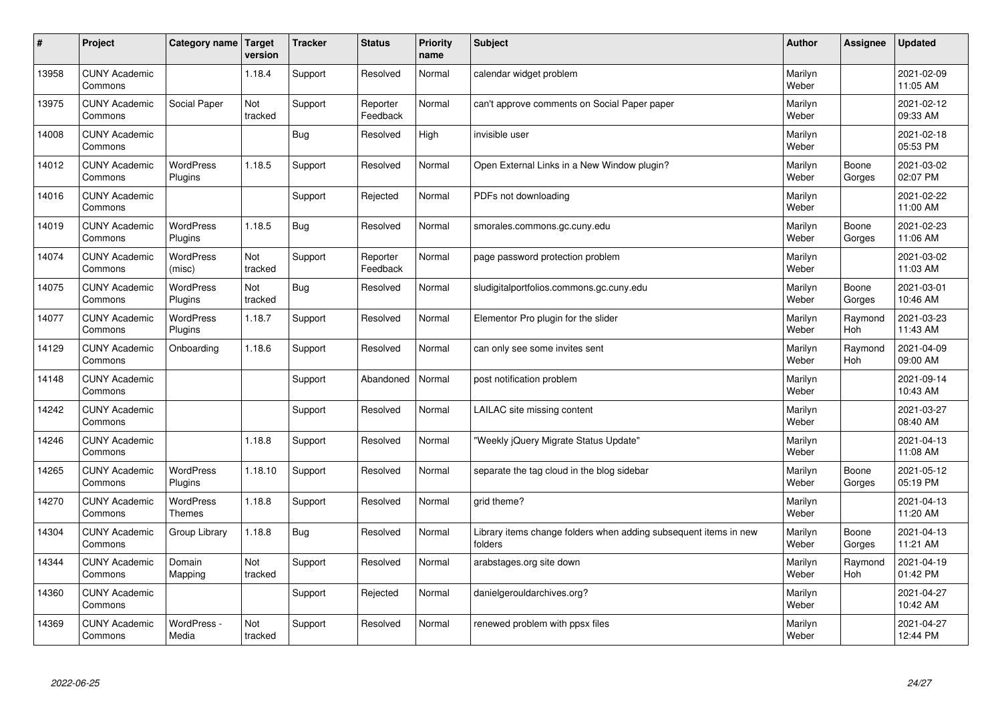| $\sharp$ | Project                         | Category name   Target             | version        | <b>Tracker</b> | <b>Status</b>        | <b>Priority</b><br>name | <b>Subject</b>                                                              | <b>Author</b>    | Assignee              | <b>Updated</b>         |
|----------|---------------------------------|------------------------------------|----------------|----------------|----------------------|-------------------------|-----------------------------------------------------------------------------|------------------|-----------------------|------------------------|
| 13958    | <b>CUNY Academic</b><br>Commons |                                    | 1.18.4         | Support        | Resolved             | Normal                  | calendar widget problem                                                     | Marilyn<br>Weber |                       | 2021-02-09<br>11:05 AM |
| 13975    | <b>CUNY Academic</b><br>Commons | Social Paper                       | Not<br>tracked | Support        | Reporter<br>Feedback | Normal                  | can't approve comments on Social Paper paper                                | Marilyn<br>Weber |                       | 2021-02-12<br>09:33 AM |
| 14008    | <b>CUNY Academic</b><br>Commons |                                    |                | <b>Bug</b>     | Resolved             | High                    | invisible user                                                              | Marilyn<br>Weber |                       | 2021-02-18<br>05:53 PM |
| 14012    | <b>CUNY Academic</b><br>Commons | <b>WordPress</b><br>Plugins        | 1.18.5         | Support        | Resolved             | Normal                  | Open External Links in a New Window plugin?                                 | Marilyn<br>Weber | Boone<br>Gorges       | 2021-03-02<br>02:07 PM |
| 14016    | <b>CUNY Academic</b><br>Commons |                                    |                | Support        | Rejected             | Normal                  | PDFs not downloading                                                        | Marilyn<br>Weber |                       | 2021-02-22<br>11:00 AM |
| 14019    | <b>CUNY Academic</b><br>Commons | <b>WordPress</b><br><b>Plugins</b> | 1.18.5         | Bug            | Resolved             | Normal                  | smorales.commons.gc.cuny.edu                                                | Marilyn<br>Weber | Boone<br>Gorges       | 2021-02-23<br>11:06 AM |
| 14074    | <b>CUNY Academic</b><br>Commons | <b>WordPress</b><br>(misc)         | Not<br>tracked | Support        | Reporter<br>Feedback | Normal                  | page password protection problem                                            | Marilyn<br>Weber |                       | 2021-03-02<br>11:03 AM |
| 14075    | <b>CUNY Academic</b><br>Commons | WordPress<br>Plugins               | Not<br>tracked | <b>Bug</b>     | Resolved             | Normal                  | sludigitalportfolios.commons.gc.cuny.edu                                    | Marilyn<br>Weber | Boone<br>Gorges       | 2021-03-01<br>10:46 AM |
| 14077    | <b>CUNY Academic</b><br>Commons | WordPress<br>Plugins               | 1.18.7         | Support        | Resolved             | Normal                  | Elementor Pro plugin for the slider                                         | Marilyn<br>Weber | Raymond<br>Hoh        | 2021-03-23<br>11:43 AM |
| 14129    | <b>CUNY Academic</b><br>Commons | Onboarding                         | 1.18.6         | Support        | Resolved             | Normal                  | can only see some invites sent                                              | Marilyn<br>Weber | Raymond<br><b>Hoh</b> | 2021-04-09<br>09:00 AM |
| 14148    | <b>CUNY Academic</b><br>Commons |                                    |                | Support        | Abandoned            | Normal                  | post notification problem                                                   | Marilyn<br>Weber |                       | 2021-09-14<br>10:43 AM |
| 14242    | <b>CUNY Academic</b><br>Commons |                                    |                | Support        | Resolved             | Normal                  | LAILAC site missing content                                                 | Marilyn<br>Weber |                       | 2021-03-27<br>08:40 AM |
| 14246    | <b>CUNY Academic</b><br>Commons |                                    | 1.18.8         | Support        | Resolved             | Normal                  | 'Weekly jQuery Migrate Status Update"                                       | Marilyn<br>Weber |                       | 2021-04-13<br>11:08 AM |
| 14265    | <b>CUNY Academic</b><br>Commons | WordPress<br>Plugins               | 1.18.10        | Support        | Resolved             | Normal                  | separate the tag cloud in the blog sidebar                                  | Marilyn<br>Weber | Boone<br>Gorges       | 2021-05-12<br>05:19 PM |
| 14270    | <b>CUNY Academic</b><br>Commons | WordPress<br><b>Themes</b>         | 1.18.8         | Support        | Resolved             | Normal                  | grid theme?                                                                 | Marilyn<br>Weber |                       | 2021-04-13<br>11:20 AM |
| 14304    | <b>CUNY Academic</b><br>Commons | Group Library                      | 1.18.8         | Bug            | Resolved             | Normal                  | Library items change folders when adding subsequent items in new<br>folders | Marilyn<br>Weber | Boone<br>Gorges       | 2021-04-13<br>11:21 AM |
| 14344    | <b>CUNY Academic</b><br>Commons | Domain<br>Mapping                  | Not<br>tracked | Support        | Resolved             | Normal                  | arabstages.org site down                                                    | Marilyn<br>Weber | Raymond<br><b>Hoh</b> | 2021-04-19<br>01:42 PM |
| 14360    | <b>CUNY Academic</b><br>Commons |                                    |                | Support        | Rejected             | Normal                  | danielgerouldarchives.org?                                                  | Marilyn<br>Weber |                       | 2021-04-27<br>10:42 AM |
| 14369    | <b>CUNY Academic</b><br>Commons | WordPress -<br>Media               | Not<br>tracked | Support        | Resolved             | Normal                  | renewed problem with ppsx files                                             | Marilyn<br>Weber |                       | 2021-04-27<br>12:44 PM |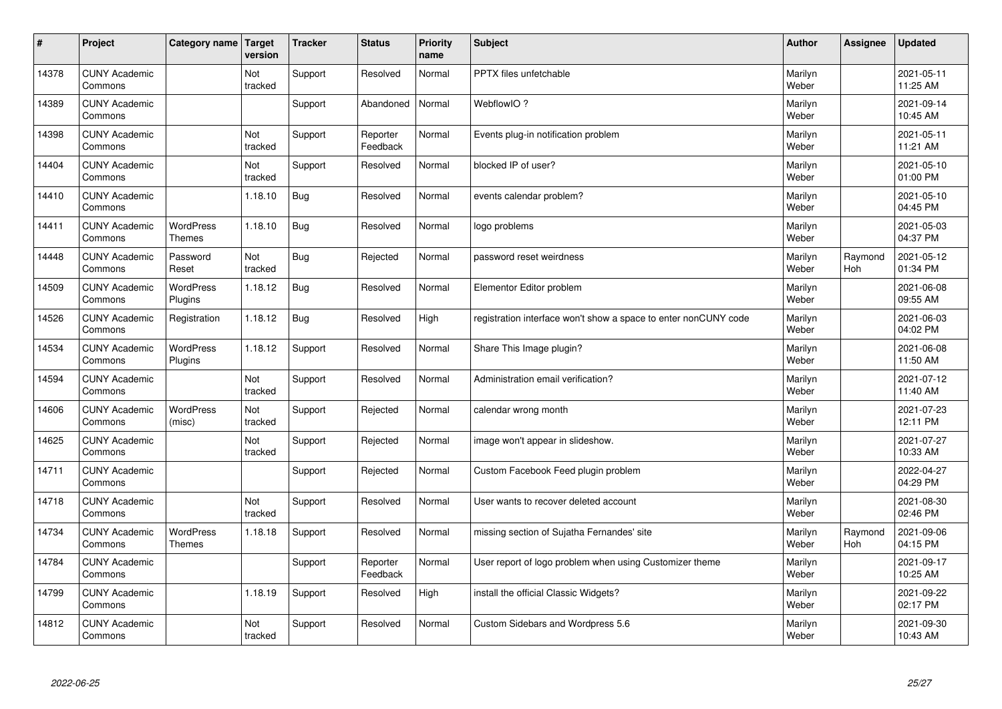| #     | Project                         | Category name   Target            | version        | <b>Tracker</b> | <b>Status</b>        | <b>Priority</b><br>name | <b>Subject</b>                                                  | <b>Author</b>    | Assignee       | <b>Updated</b>         |
|-------|---------------------------------|-----------------------------------|----------------|----------------|----------------------|-------------------------|-----------------------------------------------------------------|------------------|----------------|------------------------|
| 14378 | <b>CUNY Academic</b><br>Commons |                                   | Not<br>tracked | Support        | Resolved             | Normal                  | <b>PPTX</b> files unfetchable                                   | Marilyn<br>Weber |                | 2021-05-11<br>11:25 AM |
| 14389 | <b>CUNY Academic</b><br>Commons |                                   |                | Support        | Abandoned            | Normal                  | WebflowIO?                                                      | Marilyn<br>Weber |                | 2021-09-14<br>10:45 AM |
| 14398 | <b>CUNY Academic</b><br>Commons |                                   | Not<br>tracked | Support        | Reporter<br>Feedback | Normal                  | Events plug-in notification problem                             | Marilyn<br>Weber |                | 2021-05-11<br>11:21 AM |
| 14404 | <b>CUNY Academic</b><br>Commons |                                   | Not<br>tracked | Support        | Resolved             | Normal                  | blocked IP of user?                                             | Marilyn<br>Weber |                | 2021-05-10<br>01:00 PM |
| 14410 | <b>CUNY Academic</b><br>Commons |                                   | 1.18.10        | Bug            | Resolved             | Normal                  | events calendar problem?                                        | Marilyn<br>Weber |                | 2021-05-10<br>04:45 PM |
| 14411 | <b>CUNY Academic</b><br>Commons | <b>WordPress</b><br><b>Themes</b> | 1.18.10        | <b>Bug</b>     | Resolved             | Normal                  | logo problems                                                   | Marilyn<br>Weber |                | 2021-05-03<br>04:37 PM |
| 14448 | <b>CUNY Academic</b><br>Commons | Password<br>Reset                 | Not<br>tracked | <b>Bug</b>     | Rejected             | Normal                  | password reset weirdness                                        | Marilyn<br>Weber | Raymond<br>Hoh | 2021-05-12<br>01:34 PM |
| 14509 | <b>CUNY Academic</b><br>Commons | WordPress<br>Plugins              | 1.18.12        | <b>Bug</b>     | Resolved             | Normal                  | Elementor Editor problem                                        | Marilyn<br>Weber |                | 2021-06-08<br>09:55 AM |
| 14526 | <b>CUNY Academic</b><br>Commons | Registration                      | 1.18.12        | <b>Bug</b>     | Resolved             | High                    | registration interface won't show a space to enter nonCUNY code | Marilyn<br>Weber |                | 2021-06-03<br>04:02 PM |
| 14534 | <b>CUNY Academic</b><br>Commons | WordPress<br>Plugins              | 1.18.12        | Support        | Resolved             | Normal                  | Share This Image plugin?                                        | Marilyn<br>Weber |                | 2021-06-08<br>11:50 AM |
| 14594 | <b>CUNY Academic</b><br>Commons |                                   | Not<br>tracked | Support        | Resolved             | Normal                  | Administration email verification?                              | Marilyn<br>Weber |                | 2021-07-12<br>11:40 AM |
| 14606 | <b>CUNY Academic</b><br>Commons | WordPress<br>(misc)               | Not<br>tracked | Support        | Rejected             | Normal                  | calendar wrong month                                            | Marilyn<br>Weber |                | 2021-07-23<br>12:11 PM |
| 14625 | <b>CUNY Academic</b><br>Commons |                                   | Not<br>tracked | Support        | Rejected             | Normal                  | image won't appear in slideshow.                                | Marilyn<br>Weber |                | 2021-07-27<br>10:33 AM |
| 14711 | <b>CUNY Academic</b><br>Commons |                                   |                | Support        | Rejected             | Normal                  | Custom Facebook Feed plugin problem                             | Marilyn<br>Weber |                | 2022-04-27<br>04:29 PM |
| 14718 | <b>CUNY Academic</b><br>Commons |                                   | Not<br>tracked | Support        | Resolved             | Normal                  | User wants to recover deleted account                           | Marilyn<br>Weber |                | 2021-08-30<br>02:46 PM |
| 14734 | <b>CUNY Academic</b><br>Commons | <b>WordPress</b><br><b>Themes</b> | 1.18.18        | Support        | Resolved             | Normal                  | missing section of Sujatha Fernandes' site                      | Marilyn<br>Weber | Raymond<br>Hoh | 2021-09-06<br>04:15 PM |
| 14784 | <b>CUNY Academic</b><br>Commons |                                   |                | Support        | Reporter<br>Feedback | Normal                  | User report of logo problem when using Customizer theme         | Marilyn<br>Weber |                | 2021-09-17<br>10:25 AM |
| 14799 | <b>CUNY Academic</b><br>Commons |                                   | 1.18.19        | Support        | Resolved             | High                    | install the official Classic Widgets?                           | Marilyn<br>Weber |                | 2021-09-22<br>02:17 PM |
| 14812 | <b>CUNY Academic</b><br>Commons |                                   | Not<br>tracked | Support        | Resolved             | Normal                  | Custom Sidebars and Wordpress 5.6                               | Marilyn<br>Weber |                | 2021-09-30<br>10:43 AM |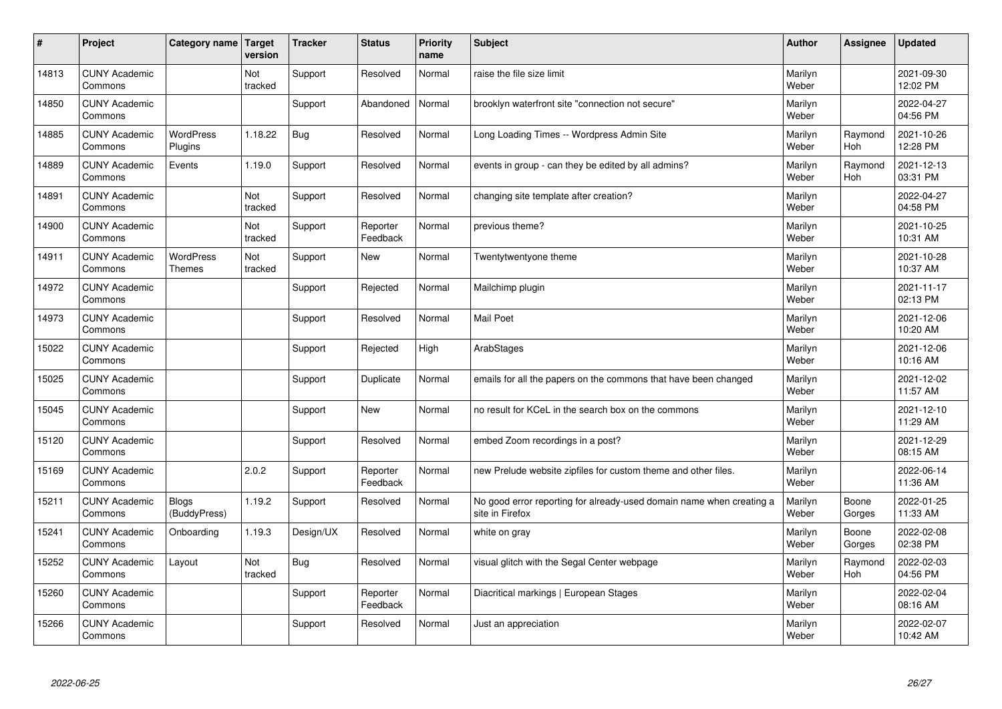| $\sharp$ | Project                         | Category name   Target            | version        | <b>Tracker</b> | <b>Status</b>        | <b>Priority</b><br>name | <b>Subject</b>                                                                          | <b>Author</b>    | Assignee              | <b>Updated</b>         |
|----------|---------------------------------|-----------------------------------|----------------|----------------|----------------------|-------------------------|-----------------------------------------------------------------------------------------|------------------|-----------------------|------------------------|
| 14813    | <b>CUNY Academic</b><br>Commons |                                   | Not<br>tracked | Support        | Resolved             | Normal                  | raise the file size limit                                                               | Marilyn<br>Weber |                       | 2021-09-30<br>12:02 PM |
| 14850    | <b>CUNY Academic</b><br>Commons |                                   |                | Support        | Abandoned            | Normal                  | brooklyn waterfront site "connection not secure"                                        | Marilyn<br>Weber |                       | 2022-04-27<br>04:56 PM |
| 14885    | <b>CUNY Academic</b><br>Commons | <b>WordPress</b><br>Plugins       | 1.18.22        | Bug            | Resolved             | Normal                  | Long Loading Times -- Wordpress Admin Site                                              | Marilyn<br>Weber | Raymond<br>Hoh        | 2021-10-26<br>12:28 PM |
| 14889    | <b>CUNY Academic</b><br>Commons | Events                            | 1.19.0         | Support        | Resolved             | Normal                  | events in group - can they be edited by all admins?                                     | Marilyn<br>Weber | Raymond<br>Hoh        | 2021-12-13<br>03:31 PM |
| 14891    | <b>CUNY Academic</b><br>Commons |                                   | Not<br>tracked | Support        | Resolved             | Normal                  | changing site template after creation?                                                  | Marilyn<br>Weber |                       | 2022-04-27<br>04:58 PM |
| 14900    | <b>CUNY Academic</b><br>Commons |                                   | Not<br>tracked | Support        | Reporter<br>Feedback | Normal                  | previous theme?                                                                         | Marilyn<br>Weber |                       | 2021-10-25<br>10:31 AM |
| 14911    | <b>CUNY Academic</b><br>Commons | <b>WordPress</b><br><b>Themes</b> | Not<br>tracked | Support        | <b>New</b>           | Normal                  | Twentytwentyone theme                                                                   | Marilyn<br>Weber |                       | 2021-10-28<br>10:37 AM |
| 14972    | <b>CUNY Academic</b><br>Commons |                                   |                | Support        | Rejected             | Normal                  | Mailchimp plugin                                                                        | Marilyn<br>Weber |                       | 2021-11-17<br>02:13 PM |
| 14973    | <b>CUNY Academic</b><br>Commons |                                   |                | Support        | Resolved             | Normal                  | <b>Mail Poet</b>                                                                        | Marilyn<br>Weber |                       | 2021-12-06<br>10:20 AM |
| 15022    | <b>CUNY Academic</b><br>Commons |                                   |                | Support        | Rejected             | High                    | ArabStages                                                                              | Marilyn<br>Weber |                       | 2021-12-06<br>10:16 AM |
| 15025    | <b>CUNY Academic</b><br>Commons |                                   |                | Support        | Duplicate            | Normal                  | emails for all the papers on the commons that have been changed                         | Marilyn<br>Weber |                       | 2021-12-02<br>11:57 AM |
| 15045    | <b>CUNY Academic</b><br>Commons |                                   |                | Support        | New                  | Normal                  | no result for KCeL in the search box on the commons                                     | Marilyn<br>Weber |                       | 2021-12-10<br>11:29 AM |
| 15120    | <b>CUNY Academic</b><br>Commons |                                   |                | Support        | Resolved             | Normal                  | embed Zoom recordings in a post?                                                        | Marilyn<br>Weber |                       | 2021-12-29<br>08:15 AM |
| 15169    | <b>CUNY Academic</b><br>Commons |                                   | 2.0.2          | Support        | Reporter<br>Feedback | Normal                  | new Prelude website zipfiles for custom theme and other files.                          | Marilyn<br>Weber |                       | 2022-06-14<br>11:36 AM |
| 15211    | <b>CUNY Academic</b><br>Commons | <b>Blogs</b><br>(BuddyPress)      | 1.19.2         | Support        | Resolved             | Normal                  | No good error reporting for already-used domain name when creating a<br>site in Firefox | Marilyn<br>Weber | Boone<br>Gorges       | 2022-01-25<br>11:33 AM |
| 15241    | <b>CUNY Academic</b><br>Commons | Onboarding                        | 1.19.3         | Design/UX      | Resolved             | Normal                  | white on gray                                                                           | Marilyn<br>Weber | Boone<br>Gorges       | 2022-02-08<br>02:38 PM |
| 15252    | <b>CUNY Academic</b><br>Commons | Layout                            | Not<br>tracked | Bug            | Resolved             | Normal                  | visual glitch with the Segal Center webpage                                             | Marilyn<br>Weber | Raymond<br><b>Hoh</b> | 2022-02-03<br>04:56 PM |
| 15260    | <b>CUNY Academic</b><br>Commons |                                   |                | Support        | Reporter<br>Feedback | Normal                  | Diacritical markings   European Stages                                                  | Marilyn<br>Weber |                       | 2022-02-04<br>08:16 AM |
| 15266    | <b>CUNY Academic</b><br>Commons |                                   |                | Support        | Resolved             | Normal                  | Just an appreciation                                                                    | Marilyn<br>Weber |                       | 2022-02-07<br>10:42 AM |